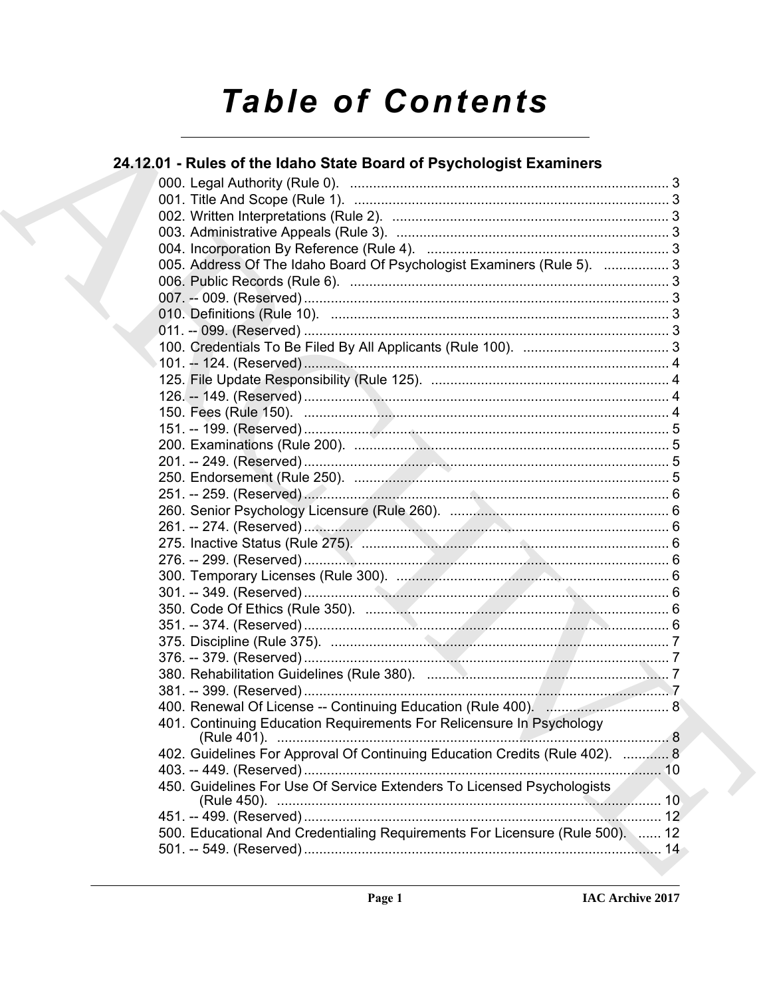# **Table of Contents**

### 24.12.01 - Rules of the Idaho State Board of Psychologist Examiners

|  | 005. Address Of The Idaho Board Of Psychologist Examiners (Rule 5).  3        |   |
|--|-------------------------------------------------------------------------------|---|
|  |                                                                               |   |
|  |                                                                               |   |
|  |                                                                               |   |
|  |                                                                               |   |
|  |                                                                               |   |
|  |                                                                               |   |
|  |                                                                               |   |
|  |                                                                               |   |
|  |                                                                               |   |
|  |                                                                               |   |
|  |                                                                               |   |
|  |                                                                               |   |
|  |                                                                               |   |
|  |                                                                               |   |
|  |                                                                               |   |
|  |                                                                               |   |
|  |                                                                               |   |
|  |                                                                               |   |
|  |                                                                               |   |
|  |                                                                               |   |
|  |                                                                               |   |
|  |                                                                               |   |
|  |                                                                               |   |
|  |                                                                               |   |
|  |                                                                               |   |
|  |                                                                               |   |
|  |                                                                               |   |
|  |                                                                               |   |
|  | 401. Continuing Education Requirements For Relicensure In Psychology          |   |
|  | (Rule 401).                                                                   | 8 |
|  | 402. Guidelines For Approval Of Continuing Education Credits (Rule 402).  8   |   |
|  |                                                                               |   |
|  | 450. Guidelines For Use Of Service Extenders To Licensed Psychologists        |   |
|  |                                                                               |   |
|  |                                                                               |   |
|  | 500. Educational And Credentialing Requirements For Licensure (Rule 500).  12 |   |
|  |                                                                               |   |
|  |                                                                               |   |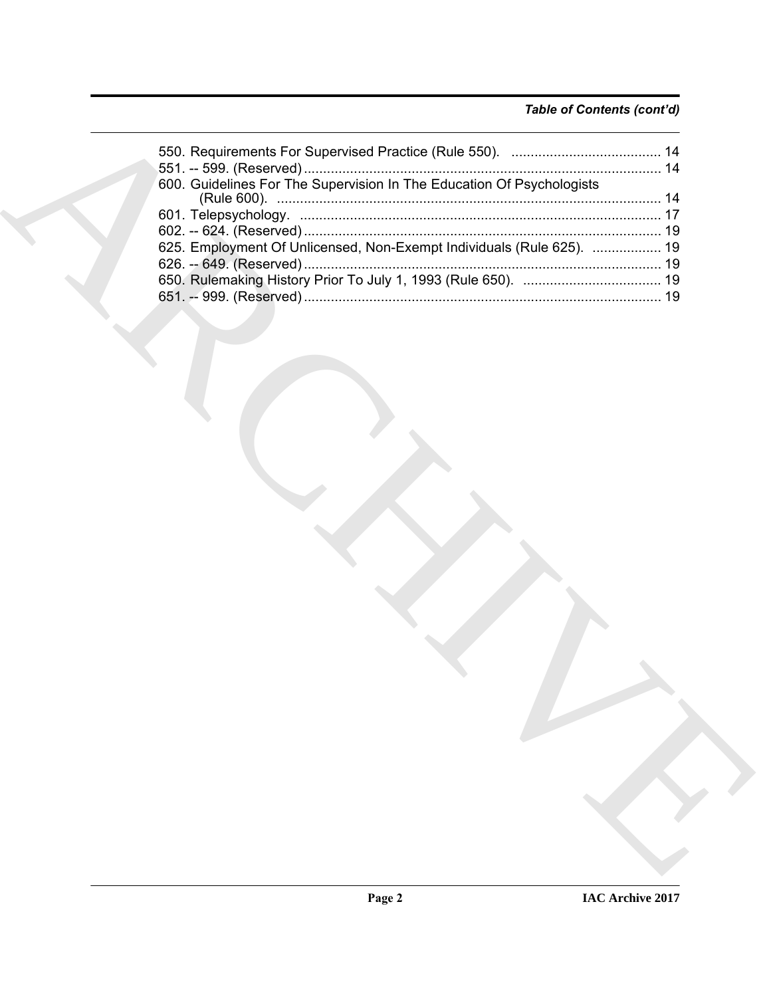#### *Table of Contents (cont'd)*

| 600. Guidelines For The Supervision In The Education Of Psychologists |
|-----------------------------------------------------------------------|
|                                                                       |
|                                                                       |
| 625. Employment Of Unlicensed, Non-Exempt Individuals (Rule 625).  19 |
|                                                                       |
|                                                                       |
|                                                                       |
|                                                                       |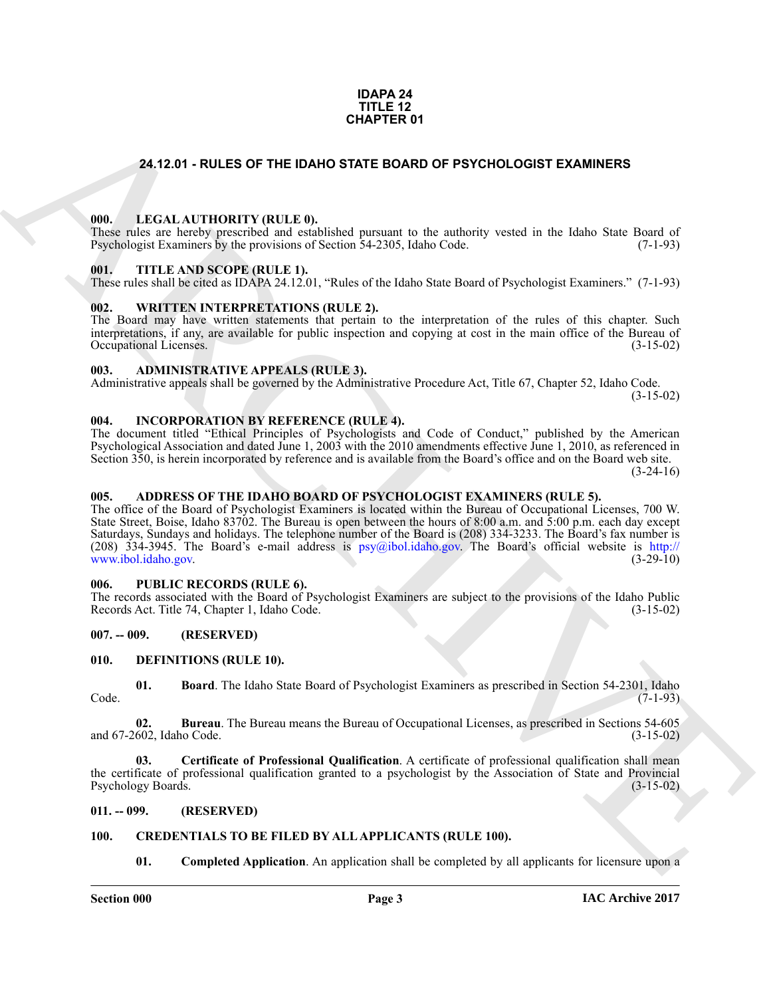#### **IDAPA 24 TITLE 12 CHAPTER 01**

#### <span id="page-2-0"></span>**24.12.01 - RULES OF THE IDAHO STATE BOARD OF PSYCHOLOGIST EXAMINERS**

#### <span id="page-2-1"></span>**000. LEGAL AUTHORITY (RULE 0).**

These rules are hereby prescribed and established pursuant to the authority vested in the Idaho State Board of Psychologist Examiners by the provisions of Section 54-2305, Idaho Code. (7-1-93)

#### <span id="page-2-2"></span>**001. TITLE AND SCOPE (RULE 1).**

These rules shall be cited as IDAPA 24.12.01, "Rules of the Idaho State Board of Psychologist Examiners." (7-1-93)

#### <span id="page-2-3"></span>**002. WRITTEN INTERPRETATIONS (RULE 2).**

The Board may have written statements that pertain to the interpretation of the rules of this chapter. Such interpretations, if any, are available for public inspection and copying at cost in the main office of the Bureau of Occupational Licenses.

#### <span id="page-2-4"></span>**003. ADMINISTRATIVE APPEALS (RULE 3).**

Administrative appeals shall be governed by the Administrative Procedure Act, Title 67, Chapter 52, Idaho Code.

(3-15-02)

#### <span id="page-2-5"></span>**004. INCORPORATION BY REFERENCE (RULE 4).**

The document titled "Ethical Principles of Psychologists and Code of Conduct," published by the American Psychological Association and dated June 1, 2003 with the 2010 amendments effective June 1, 2010, as referenced in Section 350, is herein incorporated by reference and is available from the Board's office and on the Board web site.

 $(3-24-16)$ 

#### <span id="page-2-6"></span>**005. ADDRESS OF THE IDAHO BOARD OF PSYCHOLOGIST EXAMINERS (RULE 5).**

**CHAPTER 01**<br> **CHAPTER 01**<br> **CHAPTER 01**<br> **CHAPTER 01**<br> **CHAPTER CHAPTER CHAPTER EXAMPLE CHAPTER CHAPTER CHAPTER CHAPTER CHAPTER CHAPTER CHAPTER CHAPTER AND SCOPE (ECT. 21).<br>
<b>CHAPTER CHAPTERS NOT OPERATIVE II.**<br> **CHAPTER** The office of the Board of Psychologist Examiners is located within the Bureau of Occupational Licenses, 700 W. State Street, Boise, Idaho 83702. The Bureau is open between the hours of 8:00 a.m. and 5:00 p.m. each day except Saturdays, Sundays and holidays. The telephone number of the Board is (208) 334-3233. The Board's fax number is (208)  $334-3945$ . The Board's e-mail address is psy@ibol.idaho.gov. The Board's official website is http://<br>www.ibol.idaho.gov. (3-29-10) www.ibol.idaho.gov.

#### <span id="page-2-7"></span>**006. PUBLIC RECORDS (RULE 6).**

The records associated with the Board of Psychologist Examiners are subject to the provisions of the Idaho Public<br>Records Act. Title 74, Chapter 1, Idaho Code. (3-15-02) Records Act. Title 74, Chapter 1, Idaho Code.

#### <span id="page-2-8"></span>**007. -- 009. (RESERVED)**

#### <span id="page-2-14"></span><span id="page-2-9"></span>**010. DEFINITIONS (RULE 10).**

<span id="page-2-15"></span>**01. Board**. The Idaho State Board of Psychologist Examiners as prescribed in Section 54-2301, Idaho (7-1-93) Code. (7-1-93)

<span id="page-2-16"></span>**02. Bureau**. The Bureau means the Bureau of Occupational Licenses, as prescribed in Sections 54-605 and 67-2602, Idaho Code.

<span id="page-2-17"></span>**03. Certificate of Professional Qualification**. A certificate of professional qualification shall mean the certificate of professional qualification granted to a psychologist by the Association of State and Provincial Psychology Boards. (3-15-02)

#### <span id="page-2-10"></span>**011. -- 099. (RESERVED)**

#### <span id="page-2-11"></span>**100. CREDENTIALS TO BE FILED BY ALL APPLICANTS (RULE 100).**

<span id="page-2-13"></span><span id="page-2-12"></span>**01.** Completed Application. An application shall be completed by all applicants for licensure upon a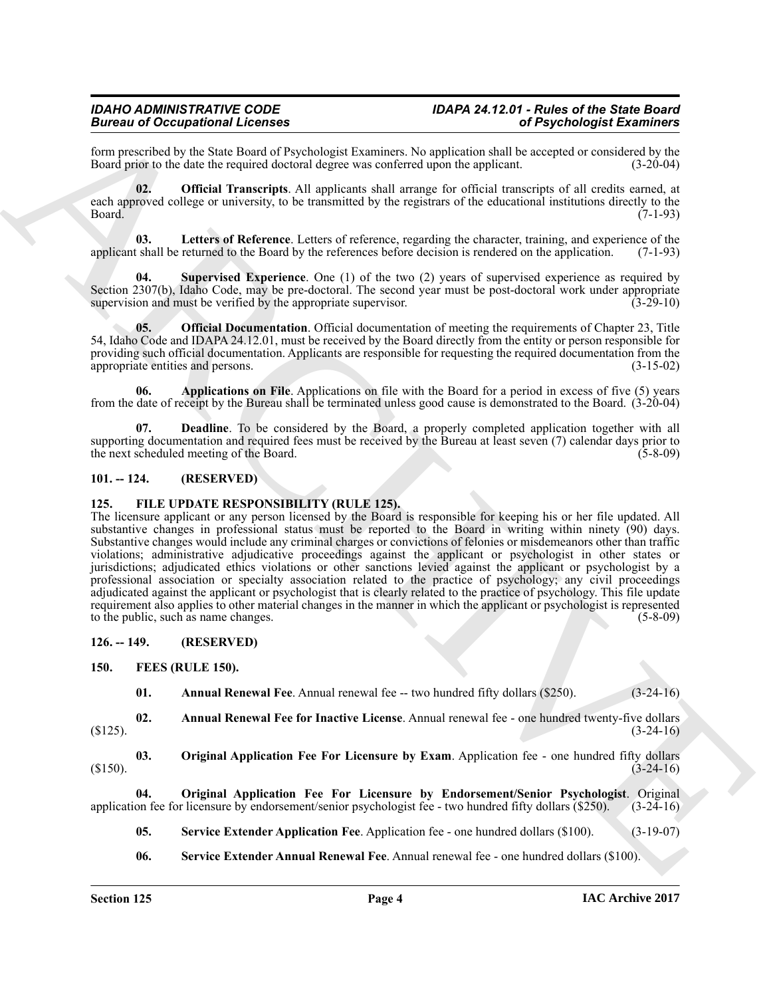form prescribed by the State Board of Psychologist Examiners. No application shall be accepted or considered by the Board prior to the date the required doctoral degree was conferred upon the applicant.

<span id="page-3-8"></span>**02. Official Transcripts**. All applicants shall arrange for official transcripts of all credits earned, at each approved college or university, to be transmitted by the registrars of the educational institutions directly to the Board. (7-1-93) Board. (7-1-93)

<span id="page-3-6"></span>**03. Letters of Reference**. Letters of reference, regarding the character, training, and experience of the applicant shall be returned to the Board by the references before decision is rendered on the application. (7-1-93)

<span id="page-3-9"></span>**04. Supervised Experience**. One (1) of the two (2) years of supervised experience as required by Section 2307(b), Idaho Code, may be pre-doctoral. The second year must be post-doctoral work under appropriate supervision and must be verified by the appropriate supervision. (3-29-10) supervision and must be verified by the appropriate supervisor.

<span id="page-3-7"></span>**05. Official Documentation**. Official documentation of meeting the requirements of Chapter 23, Title 54, Idaho Code and IDAPA 24.12.01, must be received by the Board directly from the entity or person responsible for providing such official documentation. Applicants are responsible for requesting the required documentation from the appropriate entities and persons. (3-15-02) appropriate entities and persons.

<span id="page-3-4"></span>**06. Applications on File**. Applications on file with the Board for a period in excess of five (5) years from the date of receipt by the Bureau shall be terminated unless good cause is demonstrated to the Board. (3-20-04)

<span id="page-3-5"></span>**07. Deadline**. To be considered by the Board, a properly completed application together with all supporting documentation and required fees must be received by the Bureau at least seven (7) calendar days prior to the next scheduled meeting of the Board. (5-8-09)

#### <span id="page-3-0"></span>**101. -- 124. (RESERVED)**

#### <span id="page-3-17"></span><span id="page-3-1"></span>**125. FILE UPDATE RESPONSIBILITY (RULE 125).**

**EFFORM THE CONSULTIVE CONTINUES CONTINUES (SEE THE CONTINUES CONTINUES)**<br>
Bound a state state of Properties and President particles are also a state of Properties and the Continues of the Continues of the Continues of th The licensure applicant or any person licensed by the Board is responsible for keeping his or her file updated. All substantive changes in professional status must be reported to the Board in writing within ninety (90) days. Substantive changes would include any criminal charges or convictions of felonies or misdemeanors other than traffic violations; administrative adjudicative proceedings against the applicant or psychologist in other states or jurisdictions; adjudicated ethics violations or other sanctions levied against the applicant or psychologist by a professional association or specialty association related to the practice of psychology; any civil proceedings adjudicated against the applicant or psychologist that is clearly related to the practice of psychology. This file update requirement also applies to other material changes in the manner in which the applicant or psychologist is represented to the public, such as name changes. (5-8-09) to the public, such as name changes.

<span id="page-3-2"></span>**126. -- 149. (RESERVED)**

#### <span id="page-3-3"></span>**150. FEES (RULE 150).**

<span id="page-3-14"></span><span id="page-3-12"></span><span id="page-3-11"></span><span id="page-3-10"></span>**01.** Annual Renewal Fee. Annual renewal fee -- two hundred fifty dollars (\$250). (3-24-16)

**02. Annual Renewal Fee for Inactive License**. Annual renewal fee - one hundred twenty-five dollars  $(3-24-16)$ 

**03. Original Application Fee For Licensure by Exam**. Application fee - one hundred fifty dollars (3-24-16)  $(3-24-16)$ 

**04. Original Application Fee For Licensure by Endorsement/Senior Psychologist**. Original on fee for licensure by endorsement/senior psychologist fee - two hundred fifty dollars (\$250). (3-24-16) application fee for licensure by endorsement/senior psychologist fee - two hundred fifty dollars (\$250).

<span id="page-3-16"></span><span id="page-3-13"></span>**05.** Service Extender Application Fee. Application fee - one hundred dollars (\$100). (3-19-07)

<span id="page-3-15"></span>**06. Service Extender Annual Renewal Fee**. Annual renewal fee - one hundred dollars (\$100).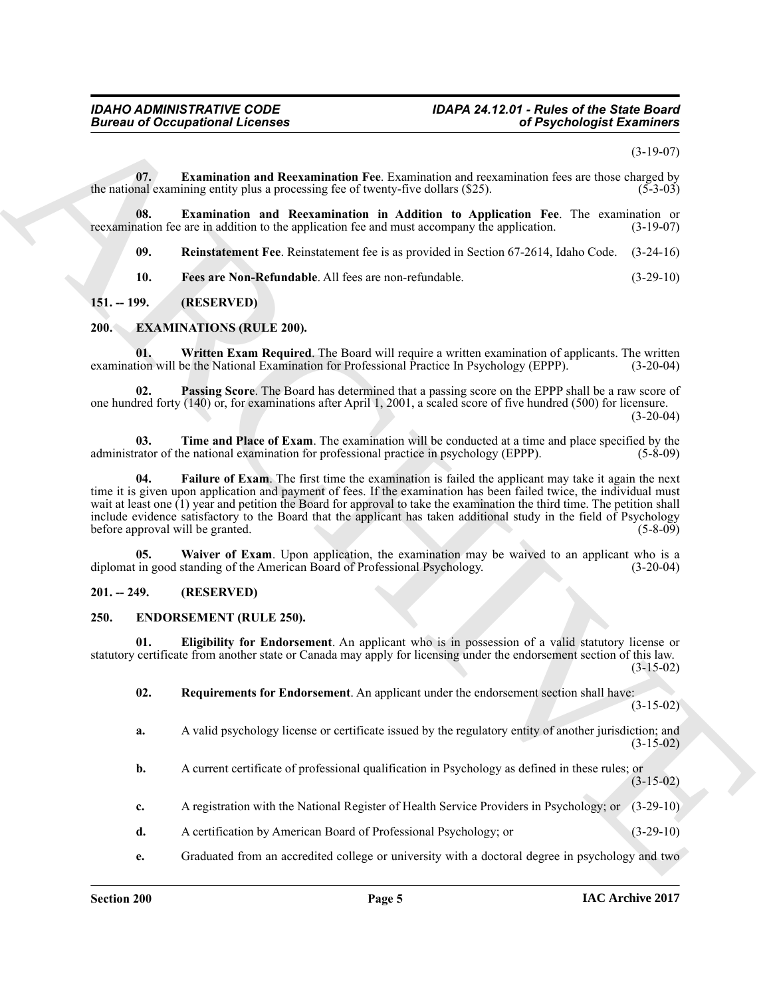(3-19-07)

<span id="page-4-13"></span>**07. Examination and Reexamination Fee**. Examination and reexamination fees are those charged by the national examining entity plus a processing fee of twenty-five dollars  $(\$25)$ .  $(5\text{-}3\text{-}03)$ 

**08. Examination and Reexamination in Addition to Application Fee**. The examination or nation fee are in addition to the application fee and must accompany the application. (3-19-07) reexamination fee are in addition to the application fee and must accompany the application.

<span id="page-4-16"></span><span id="page-4-15"></span><span id="page-4-14"></span>**09. Reinstatement Fee**. Reinstatement fee is as provided in Section 67-2614, Idaho Code. (3-24-16)

<span id="page-4-12"></span><span id="page-4-7"></span>**10. Fees are Non-Refundable**. All fees are non-refundable. (3-29-10)

#### <span id="page-4-0"></span>**151. -- 199. (RESERVED)**

#### <span id="page-4-1"></span>**200. EXAMINATIONS (RULE 200).**

**01. Written Exam Required**. The Board will require a written examination of applicants. The written ion will be the National Examination for Professional Practice In Psychology (EPPP). (3-20-04) examination will be the National Examination for Professional Practice In Psychology (EPPP).

<span id="page-4-9"></span>**02. Passing Score**. The Board has determined that a passing score on the EPPP shall be a raw score of one hundred forty (140) or, for examinations after April 1, 2001, a scaled score of five hundred (500) for licensure.  $(3-20-04)$ 

<span id="page-4-10"></span><span id="page-4-8"></span>**03. Time and Place of Exam**. The examination will be conducted at a time and place specified by the administrator of the national examination for professional practice in psychology (EPPP). (5-8-09)

**Example 20 Conceptions I** Identify the Communistical Research Conceptions Conceptions Conceptions Conceptions Conceptions Conceptions Conceptions Conceptions Conceptions Conceptions Conceptions Conceptions Conceptions **04. Failure of Exam**. The first time the examination is failed the applicant may take it again the next time it is given upon application and payment of fees. If the examination has been failed twice, the individual must wait at least one (1) year and petition the Board for approval to take the examination the third time. The petition shall include evidence satisfactory to the Board that the applicant has taken additional study in the field of Psychology before approval will be granted.

<span id="page-4-11"></span>**05.** Waiver of Exam. Upon application, the examination may be waived to an applicant who is a diplomat in good standing of the American Board of Professional Psychology. (3-20-04)

#### <span id="page-4-2"></span>**201. -- 249. (RESERVED)**

#### <span id="page-4-4"></span><span id="page-4-3"></span>**250. ENDORSEMENT (RULE 250).**

**01. Eligibility for Endorsement**. An applicant who is in possession of a valid statutory license or statutory certificate from another state or Canada may apply for licensing under the endorsement section of this law. (3-15-02)

<span id="page-4-6"></span><span id="page-4-5"></span>**02. Requirements for Endorsement**. An applicant under the endorsement section shall have:

 $(3-15-02)$ 

- **a.** A valid psychology license or certificate issued by the regulatory entity of another jurisdiction; and  $(3-15-02)$
- **b.** A current certificate of professional qualification in Psychology as defined in these rules; or (3-15-02)
- **c.** A registration with the National Register of Health Service Providers in Psychology; or (3-29-10)
- **d.** A certification by American Board of Professional Psychology; or (3-29-10)
- **e.** Graduated from an accredited college or university with a doctoral degree in psychology and two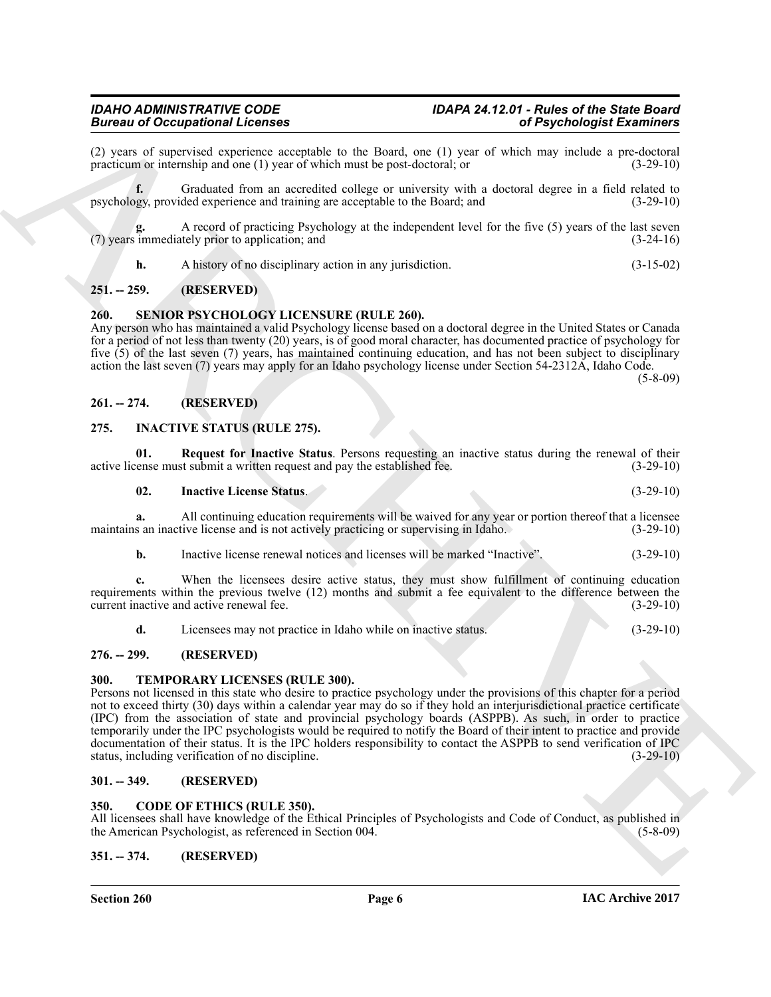(2) years of supervised experience acceptable to the Board, one (1) year of which may include a pre-doctoral practicum or internship and one (1) year of which must be post-doctoral; or practicum or internship and one  $(1)$  year of which must be post-doctoral; or

**f.** Graduated from an accredited college or university with a doctoral degree in a field related to psychology, provided experience and training are acceptable to the Board; and (3-29-10)

**g.** A record of practicing Psychology at the independent level for the five (5) years of the last seven (7) years immediately prior to application; and (3-24-16)

<span id="page-5-13"></span>**h.** A history of no disciplinary action in any jurisdiction. (3-15-02)

#### <span id="page-5-0"></span>**251. -- 259. (RESERVED)**

#### <span id="page-5-1"></span>**260. SENIOR PSYCHOLOGY LICENSURE (RULE 260).**

Any person who has maintained a valid Psychology license based on a doctoral degree in the United States or Canada for a period of not less than twenty (20) years, is of good moral character, has documented practice of psychology for five (5) of the last seven (7) years, has maintained continuing education, and has not been subject to disciplinary action the last seven (7) years may apply for an Idaho psychology license under Section 54-2312A, Idaho Code.

 $(5 - 8 - 09)$ 

#### <span id="page-5-2"></span>**261. -- 274. (RESERVED)**

#### <span id="page-5-10"></span><span id="page-5-3"></span>**275. INACTIVE STATUS (RULE 275).**

**01.** Request for Inactive Status. Persons requesting an inactive status during the renewal of their renewal of their respectively related fee.  $(3-29-10)$ active license must submit a written request and pay the established fee.

<span id="page-5-12"></span><span id="page-5-11"></span>**02. Inactive License Status**. (3-29-10)

**a.** All continuing education requirements will be waived for any year or portion thereof that a licensee maintains an inactive license and is not actively practicing or supervising in Idaho. (3-29-10)

**b.** Inactive license renewal notices and licenses will be marked "Inactive". (3-29-10)

**c.** When the licensees desire active status, they must show fulfillment of continuing education requirements within the previous twelve (12) months and submit a fee equivalent to the difference between the current inactive and active renewal fee. (3-29-10)

<span id="page-5-14"></span>**d.** Licensees may not practice in Idaho while on inactive status. (3-29-10)

#### <span id="page-5-4"></span>**276. -- 299. (RESERVED)**

#### <span id="page-5-5"></span>**300. TEMPORARY LICENSES (RULE 300).**

**EVALUATION**<br> **EVALUATION** CONCERNER CONTINUES IN the block cost 1) your of Psychologial Examines<br>
Theorem is required to the stress of the stress of the stress of the stress of the stress of the stress of the stress of t Persons not licensed in this state who desire to practice psychology under the provisions of this chapter for a period not to exceed thirty (30) days within a calendar year may do so if they hold an interjurisdictional practice certificate (IPC) from the association of state and provincial psychology boards (ASPPB). As such, in order to practice temporarily under the IPC psychologists would be required to notify the Board of their intent to practice and provide documentation of their status. It is the IPC holders responsibility to contact the ASPPB to send verification of IPC status, including verification of no discipline. (3-29-10) status, including verification of no discipline.

#### <span id="page-5-6"></span>**301. -- 349. (RESERVED)**

#### <span id="page-5-9"></span><span id="page-5-7"></span>**350. CODE OF ETHICS (RULE 350).**

All licensees shall have knowledge of the Ethical Principles of Psychologists and Code of Conduct, as published in the American Psychologist, as referenced in Section 004. the American Psychologist, as referenced in Section 004.

#### <span id="page-5-8"></span>**351. -- 374. (RESERVED)**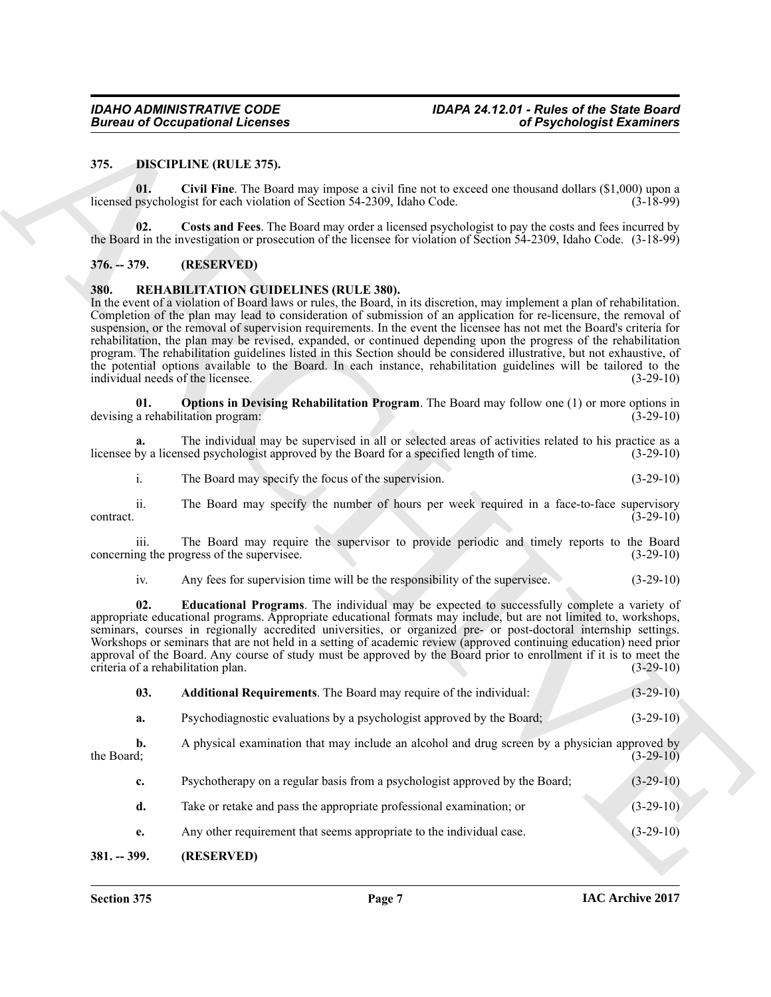#### <span id="page-6-5"></span><span id="page-6-4"></span><span id="page-6-0"></span>**375. DISCIPLINE (RULE 375).**

#### <span id="page-6-6"></span><span id="page-6-1"></span>**376. -- 379. (RESERVED)**

#### <span id="page-6-10"></span><span id="page-6-7"></span><span id="page-6-2"></span>**380. REHABILITATION GUIDELINES (RULE 380).**

|                                           | <b>Bureau of Occupational Licenses</b><br>of Psychologist Examiners                                                                                                                                                                                                                                                                                                                                                                                                                                                                                                                                                                                                                                                                                                                    |             |
|-------------------------------------------|----------------------------------------------------------------------------------------------------------------------------------------------------------------------------------------------------------------------------------------------------------------------------------------------------------------------------------------------------------------------------------------------------------------------------------------------------------------------------------------------------------------------------------------------------------------------------------------------------------------------------------------------------------------------------------------------------------------------------------------------------------------------------------------|-------------|
| 375.                                      | <b>DISCIPLINE (RULE 375).</b>                                                                                                                                                                                                                                                                                                                                                                                                                                                                                                                                                                                                                                                                                                                                                          |             |
| 01.                                       | Civil Fine. The Board may impose a civil fine not to exceed one thousand dollars $(\$1,000)$ upon a<br>licensed psychologist for each violation of Section 54-2309, Idaho Code.                                                                                                                                                                                                                                                                                                                                                                                                                                                                                                                                                                                                        | $(3-18-99)$ |
| 02.                                       | Costs and Fees. The Board may order a licensed psychologist to pay the costs and fees incurred by<br>the Board in the investigation or prosecution of the licensee for violation of Section 54-2309, Idaho Code. (3-18-99)                                                                                                                                                                                                                                                                                                                                                                                                                                                                                                                                                             |             |
| $376. - 379.$                             | (RESERVED)                                                                                                                                                                                                                                                                                                                                                                                                                                                                                                                                                                                                                                                                                                                                                                             |             |
| 380.<br>individual needs of the licensee. | REHABILITATION GUIDELINES (RULE 380).<br>In the event of a violation of Board laws or rules, the Board, in its discretion, may implement a plan of rehabilitation.<br>Completion of the plan may lead to consideration of submission of an application for re-licensure, the removal of<br>suspension, or the removal of supervision requirements. In the event the licensee has not met the Board's criteria for<br>rehabilitation, the plan may be revised, expanded, or continued depending upon the progress of the rehabilitation<br>program. The rehabilitation guidelines listed in this Section should be considered illustrative, but not exhaustive, of<br>the potential options available to the Board. In each instance, rehabilitation guidelines will be tailored to the | $(3-29-10)$ |
| 01.                                       | Options in Devising Rehabilitation Program. The Board may follow one (1) or more options in<br>devising a rehabilitation program:                                                                                                                                                                                                                                                                                                                                                                                                                                                                                                                                                                                                                                                      | $(3-29-10)$ |
|                                           | The individual may be supervised in all or selected areas of activities related to his practice as a<br>licensee by a licensed psychologist approved by the Board for a specified length of time.                                                                                                                                                                                                                                                                                                                                                                                                                                                                                                                                                                                      | $(3-29-10)$ |
| i.                                        | The Board may specify the focus of the supervision.                                                                                                                                                                                                                                                                                                                                                                                                                                                                                                                                                                                                                                                                                                                                    | $(3-29-10)$ |
| ii.<br>contract.                          | The Board may specify the number of hours per week required in a face-to-face supervisory                                                                                                                                                                                                                                                                                                                                                                                                                                                                                                                                                                                                                                                                                              | $(3-29-10)$ |
| iii.                                      | The Board may require the supervisor to provide periodic and timely reports to the Board<br>concerning the progress of the supervisee.                                                                                                                                                                                                                                                                                                                                                                                                                                                                                                                                                                                                                                                 | $(3-29-10)$ |
| iv.                                       | Any fees for supervision time will be the responsibility of the supervisee.                                                                                                                                                                                                                                                                                                                                                                                                                                                                                                                                                                                                                                                                                                            | $(3-29-10)$ |
| 02.<br>criteria of a rehabilitation plan. | <b>Educational Programs</b> . The individual may be expected to successfully complete a variety of<br>appropriate educational programs. Appropriate educational formats may include, but are not limited to, workshops,<br>seminars, courses in regionally accredited universities, or organized pre- or post-doctoral internship settings.<br>Workshops or seminars that are not held in a setting of academic review (approved continuing education) need prior<br>approval of the Board. Any course of study must be approved by the Board prior to enrollment if it is to meet the                                                                                                                                                                                                 | $(3-29-10)$ |
| 03.                                       | Additional Requirements. The Board may require of the individual:                                                                                                                                                                                                                                                                                                                                                                                                                                                                                                                                                                                                                                                                                                                      | $(3-29-10)$ |
| a.                                        | Psychodiagnostic evaluations by a psychologist approved by the Board;                                                                                                                                                                                                                                                                                                                                                                                                                                                                                                                                                                                                                                                                                                                  | $(3-29-10)$ |
| b.<br>the Board;                          | A physical examination that may include an alcohol and drug screen by a physician approved by                                                                                                                                                                                                                                                                                                                                                                                                                                                                                                                                                                                                                                                                                          | $(3-29-10)$ |
| c.                                        | Psychotherapy on a regular basis from a psychologist approved by the Board;                                                                                                                                                                                                                                                                                                                                                                                                                                                                                                                                                                                                                                                                                                            | $(3-29-10)$ |
| d.                                        | Take or retake and pass the appropriate professional examination; or                                                                                                                                                                                                                                                                                                                                                                                                                                                                                                                                                                                                                                                                                                                   | $(3-29-10)$ |
| e.                                        | Any other requirement that seems appropriate to the individual case.                                                                                                                                                                                                                                                                                                                                                                                                                                                                                                                                                                                                                                                                                                                   | $(3-29-10)$ |
| $381. - 399.$                             | (RESERVED)                                                                                                                                                                                                                                                                                                                                                                                                                                                                                                                                                                                                                                                                                                                                                                             |             |

#### <span id="page-6-9"></span><span id="page-6-8"></span><span id="page-6-3"></span>**381. -- 399. (RESERVED)**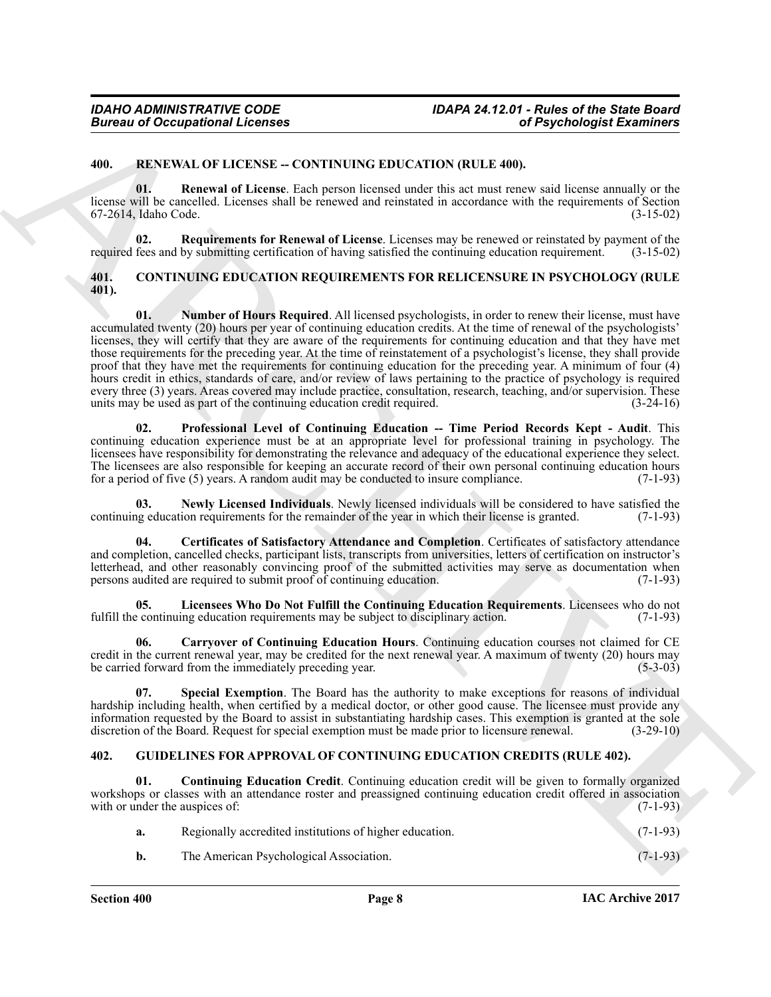#### <span id="page-7-13"></span><span id="page-7-0"></span>**400. RENEWAL OF LICENSE -- CONTINUING EDUCATION (RULE 400).**

<span id="page-7-14"></span>**01. Renewal of License**. Each person licensed under this act must renew said license annually or the license will be cancelled. Licenses shall be renewed and reinstated in accordance with the requirements of Section 67-2614, Idaho Code. (3-15-02)

<span id="page-7-15"></span>**02. Requirements for Renewal of License**. Licenses may be renewed or reinstated by payment of the required fees and by submitting certification of having satisfied the continuing education requirement. (3-15-02)

#### <span id="page-7-8"></span><span id="page-7-3"></span><span id="page-7-1"></span>**401. CONTINUING EDUCATION REQUIREMENTS FOR RELICENSURE IN PSYCHOLOGY (RULE 401).**

Given and Cocapacitorial Licenses<br>
4.0. BLEWALN OF LICENSE EXCURRENCE (SECULTURENCE ENTERTAINMENT AND CASE (SECULTURENCE ENTERTAINMENT AND ARCHIVESE ENTERTAINMENT AND CONSULTER (SECULTURENCE ENTERTAINMENT AND CONSULTER (S **01. Number of Hours Required**. All licensed psychologists, in order to renew their license, must have accumulated twenty (20) hours per year of continuing education credits. At the time of renewal of the psychologists' licenses, they will certify that they are aware of the requirements for continuing education and that they have met those requirements for the preceding year. At the time of reinstatement of a psychologist's license, they shall provide proof that they have met the requirements for continuing education for the preceding year. A minimum of four (4) hours credit in ethics, standards of care, and/or review of laws pertaining to the practice of psychology is required every three (3) years. Areas covered may include practice, consultation, research, teaching, and/or supervision. These units may be used as part of the continuing education credit required. (3-24-16) units may be used as part of the continuing education credit required.

<span id="page-7-9"></span>**02. Professional Level of Continuing Education -- Time Period Records Kept - Audit**. This continuing education experience must be at an appropriate level for professional training in psychology. The licensees have responsibility for demonstrating the relevance and adequacy of the educational experience they select. The licensees are also responsible for keeping an accurate record of their own personal continuing education hours for a period of five  $(5)$  years. A random audit may be conducted to insure compliance.  $(7-1-93)$ for a period of five  $(5)$  years. A random audit may be conducted to insure compliance.

<span id="page-7-7"></span>**Newly Licensed Individuals**. Newly licensed individuals will be considered to have satisfied the ion requirements for the remainder of the year in which their license is granted. (7-1-93) continuing education requirements for the remainder of the year in which their license is granted.

<span id="page-7-5"></span>**04. Certificates of Satisfactory Attendance and Completion**. Certificates of satisfactory attendance and completion, cancelled checks, participant lists, transcripts from universities, letters of certification on instructor's letterhead, and other reasonably convincing proof of the submitted activities may serve as documentation when<br>persons audited are required to submit proof of continuing education. (7-1-93) persons audited are required to submit proof of continuing education.

<span id="page-7-6"></span>**05.** Licensees Who Do Not Fulfill the Continuing Education Requirements. Licensees who do not exercit continuing education requirements may be subject to disciplinary action. (7-1-93) fulfill the continuing education requirements may be subject to disciplinary action.

<span id="page-7-4"></span>**06. Carryover of Continuing Education Hours**. Continuing education courses not claimed for CE credit in the current renewal year, may be credited for the next renewal year. A maximum of twenty (20) hours may be carried forward from the immediately preceding year. be carried forward from the immediately preceding year.

<span id="page-7-10"></span>**07. Special Exemption**. The Board has the authority to make exceptions for reasons of individual hardship including health, when certified by a medical doctor, or other good cause. The licensee must provide any information requested by the Board to assist in substantiating hardship cases. This exemption is granted at the sole discretion of the Board. Request for special exemption must be made prior to licensure renewal. (3-29-10) discretion of the Board. Request for special exemption must be made prior to licensure renewal.

#### <span id="page-7-11"></span><span id="page-7-2"></span>**402. GUIDELINES FOR APPROVAL OF CONTINUING EDUCATION CREDITS (RULE 402).**

**01. Continuing Education Credit**. Continuing education credit will be given to formally organized workshops or classes with an attendance roster and preassigned continuing education credit offered in association with or under the auspices of: (7-1-93) with or under the auspices of:

<span id="page-7-12"></span>

| а. | Regionally accredited institutions of higher education. | $(7-1-93)$ |
|----|---------------------------------------------------------|------------|
|    | The American Psychological Association.                 | $(7-1-93)$ |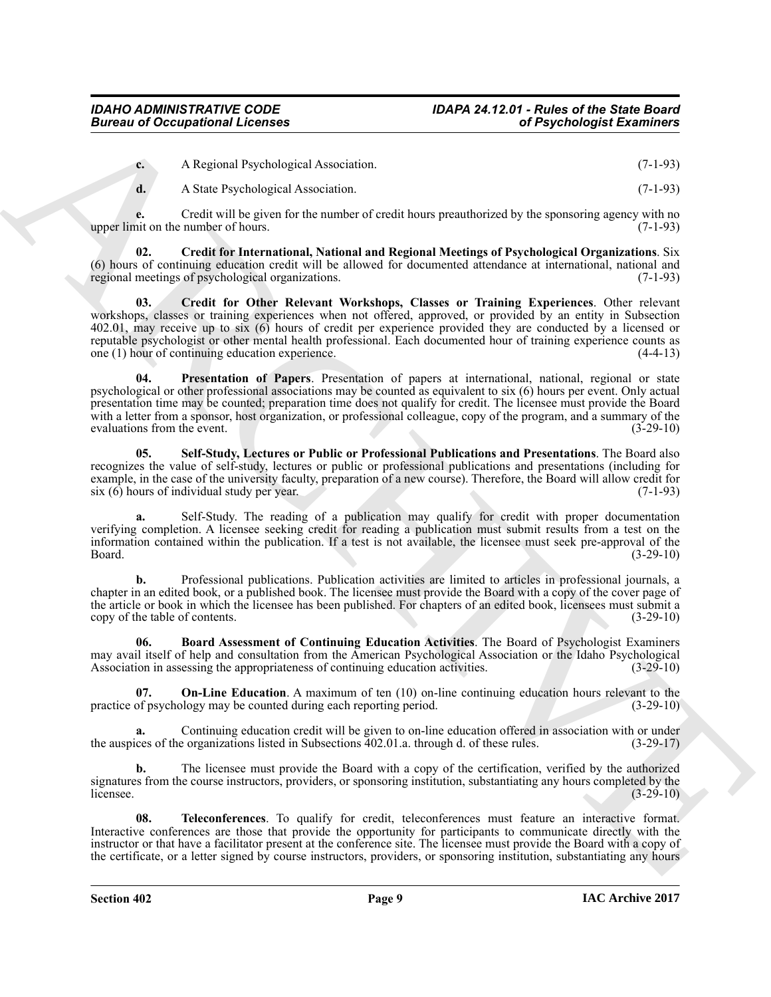|  | A Regional Psychological Association. | $(7-1-93)$ |
|--|---------------------------------------|------------|
|--|---------------------------------------|------------|

<span id="page-8-1"></span>**d.** A State Psychological Association. (7-1-93)

**e.** Credit will be given for the number of credit hours preauthorized by the sponsoring agency with no nit on the number of hours. (7-1-93) upper limit on the number of hours.

<span id="page-8-2"></span>**02. Credit for International, National and Regional Meetings of Psychological Organizations**. Six (6) hours of continuing education credit will be allowed for documented attendance at international, national and regional meetings of psychological organizations.  $(7-1-93)$ regional meetings of psychological organizations.

Given to Occupational Licensins (and the stational continue of Psychologial Examines (b) (1-19)<br>
A State Psychologial Association.<br>
C A State Psychologial Association.<br>
C A State Psychologial Association.<br>
(2-1-9)<br>
(2-1-9 **03. Credit for Other Relevant Workshops, Classes or Training Experiences**. Other relevant workshops, classes or training experiences when not offered, approved, or provided by an entity in Subsection 402.01, may receive up to six (6) hours of credit per experience provided they are conducted by a licensed or reputable psychologist or other mental health professional. Each documented hour of training experience counts as one (1) hour of continuing education experience. (4-4-13) one  $(1)$  hour of continuing education experience.

<span id="page-8-4"></span>**04. Presentation of Papers**. Presentation of papers at international, national, regional or state psychological or other professional associations may be counted as equivalent to six (6) hours per event. Only actual presentation time may be counted; preparation time does not qualify for credit. The licensee must provide the Board with a letter from a sponsor, host organization, or professional colleague, copy of the program, and a summary of the evaluations from the event. (3-29-10) evaluations from the event.

<span id="page-8-5"></span>**05. Self-Study, Lectures or Public or Professional Publications and Presentations**. The Board also recognizes the value of self-study, lectures or public or professional publications and presentations (including for example, in the case of the university faculty, preparation of a new course). Therefore, the Board will allow credit for six (6) hours of individual study per year. (7-1-93) six  $(6)$  hours of individual study per year.

Self-Study. The reading of a publication may qualify for credit with proper documentation verifying completion. A licensee seeking credit for reading a publication must submit results from a test on the information contained within the publication. If a test is not available, the licensee must seek pre-approval of the Board. (3-29-10)

**b.** Professional publications. Publication activities are limited to articles in professional journals, a chapter in an edited book, or a published book. The licensee must provide the Board with a copy of the cover page of the article or book in which the licensee has been published. For chapters of an edited book, licensees must submit a copy of the table of contents. (3-29-10) copy of the table of contents.

<span id="page-8-0"></span>**06. Board Assessment of Continuing Education Activities**. The Board of Psychologist Examiners may avail itself of help and consultation from the American Psychological Association or the Idaho Psychological<br>Association in assessing the appropriateness of continuing education activities. (3-29-10) Association in assessing the appropriateness of continuing education activities.

<span id="page-8-3"></span>**07. On-Line Education**. A maximum of ten (10) on-line continuing education hours relevant to the of psychology may be counted during each reporting period. (3-29-10) practice of psychology may be counted during each reporting period.

**a.** Continuing education credit will be given to on-line education offered in association with or under the auspices of the organizations listed in Subsections 402.01.a. through d. of these rules. (3-29-17)

**b.** The licensee must provide the Board with a copy of the certification, verified by the authorized signatures from the course instructors, providers, or sponsoring institution, substantiating any hours completed by the licensee.  $(3-29-10)$ 

<span id="page-8-6"></span>**08. Teleconferences**. To qualify for credit, teleconferences must feature an interactive format. Interactive conferences are those that provide the opportunity for participants to communicate directly with the instructor or that have a facilitator present at the conference site. The licensee must provide the Board with a copy of the certificate, or a letter signed by course instructors, providers, or sponsoring institution, substantiating any hours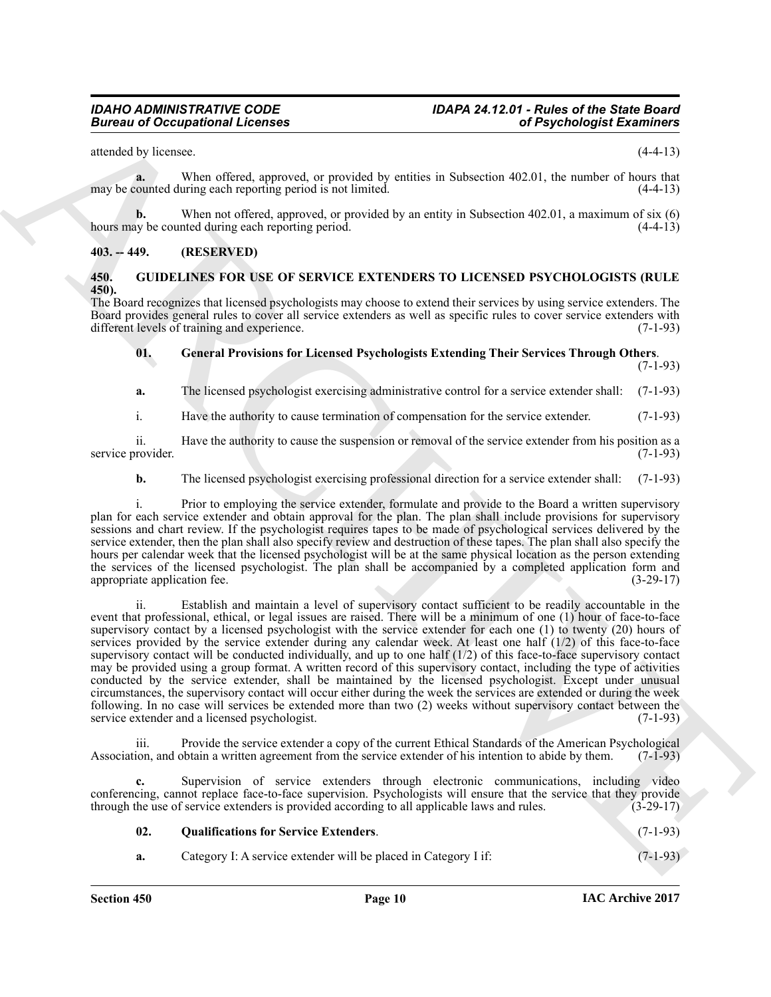attended by licensee. (4-4-13)

**a.** When offered, approved, or provided by entities in Subsection 402.01, the number of hours that may be counted during each reporting period is not limited. (4-4-13)

**b.** When not offered, approved, or provided by an entity in Subsection 402.01, a maximum of six (6) v be counted during each reporting period. (4-4-13) hours may be counted during each reporting period.

#### <span id="page-9-0"></span>**403. -- 449. (RESERVED)**

#### <span id="page-9-2"></span><span id="page-9-1"></span>**450. GUIDELINES FOR USE OF SERVICE EXTENDERS TO LICENSED PSYCHOLOGISTS (RULE 450).**

The Board recognizes that licensed psychologists may choose to extend their services by using service extenders. The Board provides general rules to cover all service extenders as well as specific rules to cover service extenders with different levels of training and experience. (7-1-93)

### <span id="page-9-3"></span>**01. General Provisions for Licensed Psychologists Extending Their Services Through Others**. (7-1-93)

**a.** The licensed psychologist exercising administrative control for a service extender shall: (7-1-93)

i. Have the authority to cause termination of compensation for the service extender. (7-1-93)

ii. Have the authority to cause the suspension or removal of the service extender from his position as a provider. (7-1-93) service provider.

#### **b.** The licensed psychologist exercising professional direction for a service extender shall: (7-1-93)

i. Prior to employing the service extender, formulate and provide to the Board a written supervisory plan for each service extender and obtain approval for the plan. The plan shall include provisions for supervisory sessions and chart review. If the psychologist requires tapes to be made of psychological services delivered by the service extender, then the plan shall also specify review and destruction of these tapes. The plan shall also specify the hours per calendar week that the licensed psychologist will be at the same physical location as the person extending the services of the licensed psychologist. The plan shall be accompanied by a completed application form and appropriate application fee. (3-29-17) appropriate application fee.

Given a  $\alpha$  Occupations I Leonards are a member by entries in Subscribes 4.2 0.1 the number of terms has a statistic process of the statistic process of the statistic process of the statistic process of the statistic pro ii. Establish and maintain a level of supervisory contact sufficient to be readily accountable in the event that professional, ethical, or legal issues are raised. There will be a minimum of one (1) hour of face-to-face supervisory contact by a licensed psychologist with the service extender for each one (1) to twenty (20) hours of services provided by the service extender during any calendar week. At least one half (1/2) of this face-to-face supervisory contact will be conducted individually, and up to one half  $(1/2)$  of this face-to-face supervisory contact may be provided using a group format. A written record of this supervisory contact, including the type of activities conducted by the service extender, shall be maintained by the licensed psychologist. Except under unusual circumstances, the supervisory contact will occur either during the week the services are extended or during the week following. In no case will services be extended more than two (2) weeks without supervisory contact between the service extender and a licensed psychologist. (7-1-93) service extender and a licensed psychologist.

iii. Provide the service extender a copy of the current Ethical Standards of the American Psychological Association, and obtain a written agreement from the service extender of his intention to abide by them. (7-1-93)

**c.** Supervision of service extenders through electronic communications, including video conferencing, cannot replace face-to-face supervision. Psychologists will ensure that the service that they provide through the use of service extenders is provided according to all applicable laws and rules. (3-29-17) through the use of service extenders is provided according to all applicable laws and rules.

<span id="page-9-4"></span>

| 02. | <b>Qualifications for Service Extenders.</b> |  |  |  |   |  |  |  | $(7-1-93)$ |  |  |
|-----|----------------------------------------------|--|--|--|---|--|--|--|------------|--|--|
|     |                                              |  |  |  | . |  |  |  |            |  |  |

**a.** Category I: A service extender will be placed in Category I if: (7-1-93)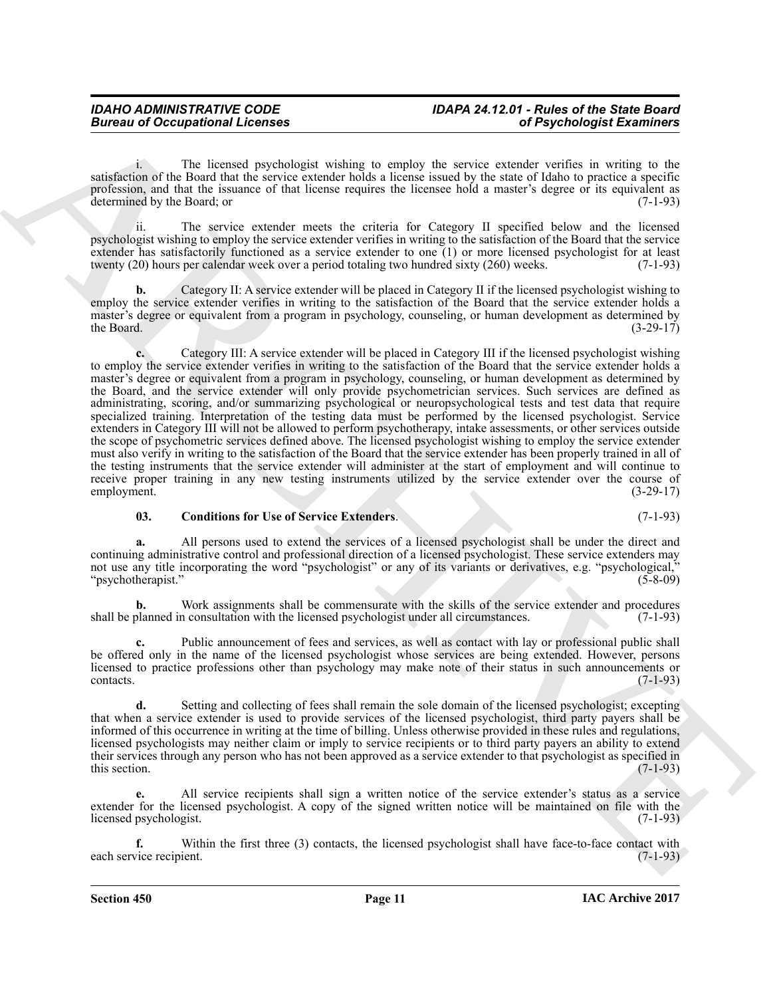i. The licensed psychologist wishing to employ the service extender verifies in writing to the satisfaction of the Board that the service extender holds a license issued by the state of Idaho to practice a specific profession, and that the issuance of that license requires the licensee hold a master's degree or its equivalent as determined by the Board; or  $(7-1-93)$ 

ii. The service extender meets the criteria for Category II specified below and the licensed psychologist wishing to employ the service extender verifies in writing to the satisfaction of the Board that the service extender has satisfactorily functioned as a service extender to one (1) or more licensed psychologist for at least twenty (20) hours per calendar week over a period totaling two hundred sixty (260) weeks. (7-1-93)

**b.** Category II: A service extender will be placed in Category II if the licensed psychologist wishing to employ the service extender verifies in writing to the satisfaction of the Board that the service extender holds a master's degree or equivalent from a program in psychology, counseling, or human development as determined by<br>(3-29-17) the Board. the Board.  $(3-29-17)$ 

Given to Occupational Licenses<br>
Contrast of the latentary three methods when to employ the receive contrast of Psychologial Examines<br>
statistics of the latent particle in the statistic statistics of the statistic statisti **c.** Category III: A service extender will be placed in Category III if the licensed psychologist wishing to employ the service extender verifies in writing to the satisfaction of the Board that the service extender holds a master's degree or equivalent from a program in psychology, counseling, or human development as determined by the Board, and the service extender will only provide psychometrician services. Such services are defined as administrating, scoring, and/or summarizing psychological or neuropsychological tests and test data that require specialized training. Interpretation of the testing data must be performed by the licensed psychologist. Service extenders in Category III will not be allowed to perform psychotherapy, intake assessments, or other services outside the scope of psychometric services defined above. The licensed psychologist wishing to employ the service extender must also verify in writing to the satisfaction of the Board that the service extender has been properly trained in all of the testing instruments that the service extender will administer at the start of employment and will continue to receive proper training in any new testing instruments utilized by the service extender over the course of employment. (3-29-17) employment. (3-29-17)

#### <span id="page-10-0"></span>**03. Conditions for Use of Service Extenders**. (7-1-93)

**a.** All persons used to extend the services of a licensed psychologist shall be under the direct and continuing administrative control and professional direction of a licensed psychologist. These service extenders may not use any title incorporating the word "psychologist" or any of its variants or derivatives, e.g. "psychological,"<br>"psychotherapist." (5-8-09) "psychotherapist."

**b.** Work assignments shall be commensurate with the skills of the service extender and procedures planned in consultation with the licensed psychologist under all circumstances. (7-1-93) shall be planned in consultation with the licensed psychologist under all circumstances.

**c.** Public announcement of fees and services, as well as contact with lay or professional public shall be offered only in the name of the licensed psychologist whose services are being extended. However, persons licensed to practice professions other than psychology may make note of their status in such announcements or  $\text{constants.}$  (7-1-93)

**d.** Setting and collecting of fees shall remain the sole domain of the licensed psychologist; excepting that when a service extender is used to provide services of the licensed psychologist, third party payers shall be informed of this occurrence in writing at the time of billing. Unless otherwise provided in these rules and regulations, licensed psychologists may neither claim or imply to service recipients or to third party payers an ability to extend their services through any person who has not been approved as a service extender to that psychologist as specified in this section. this section.  $(7-1-93)$ 

**e.** All service recipients shall sign a written notice of the service extender's status as a service extender for the licensed psychologist. A copy of the signed written notice will be maintained on file with the licensed psychologist. (7-1-93) licensed psychologist.

Within the first three (3) contacts, the licensed psychologist shall have face-to-face contact with ient. (7-1-93) each service recipient.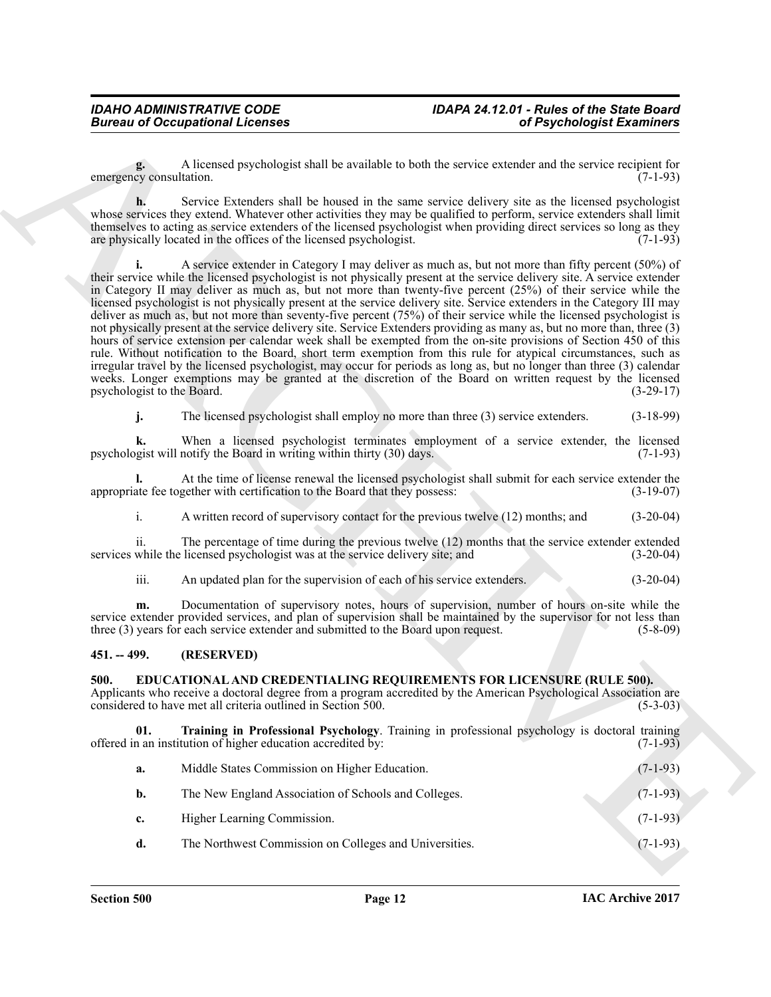**g.** A licensed psychologist shall be available to both the service extender and the service recipient for emergency consultation.

**h.** Service Extenders shall be housed in the same service delivery site as the licensed psychologist whose services they extend. Whatever other activities they may be qualified to perform, service extenders shall limit themselves to acting as service extenders of the licensed psychologist when providing direct services so long as they are physically located in the offices of the licensed psychologist.  $(7-1-93)$ 

Given to Occupational Leonies<br>
Correspondent Leonies<br>
Correspondent Leonies<br>
Correspondent Leonies<br>
System Control and Leonies<br>
System Correspondent Leonies<br>
System Correspondent Leonies<br>
System Correspondent Leonies<br>
Sys **i.** A service extender in Category I may deliver as much as, but not more than fifty percent (50%) of their service while the licensed psychologist is not physically present at the service delivery site. A service extender in Category II may deliver as much as, but not more than twenty-five percent (25%) of their service while the licensed psychologist is not physically present at the service delivery site. Service extenders in the Category III may deliver as much as, but not more than seventy-five percent (75%) of their service while the licensed psychologist is not physically present at the service delivery site. Service Extenders providing as many as, but no more than, three (3) hours of service extension per calendar week shall be exempted from the on-site provisions of Section 450 of this rule. Without notification to the Board, short term exemption from this rule for atypical circumstances, such as irregular travel by the licensed psychologist, may occur for periods as long as, but no longer than three (3) calendar weeks. Longer exemptions may be granted at the discretion of the Board on written request by the licensed psychologist to the Board. (3-29-17) psychologist to the Board.

**j.** The licensed psychologist shall employ no more than three (3) service extenders. (3-18-99)

**k.** When a licensed psychologist terminates employment of a service extender, the licensed psychologist will notify the Board in writing within thirty (30) days. (7-1-93)

**l.** At the time of license renewal the licensed psychologist shall submit for each service extender the ate fee together with certification to the Board that they possess: (3-19-07) appropriate fee together with certification to the Board that they possess:

i. A written record of supervisory contact for the previous twelve (12) months; and (3-20-04)

ii. The percentage of time during the previous twelve (12) months that the service extender extended while the licensed psychologist was at the service delivery site; and (3-20-04) services while the licensed psychologist was at the service delivery site; and

iii. An updated plan for the supervision of each of his service extenders. (3-20-04)

**m.** Documentation of supervisory notes, hours of supervision, number of hours on-site while the service extender provided services, and plan of supervision shall be maintained by the supervisor for not less than three (3) years for each service extender and submitted to the Board upon request. (5-8-09)

#### <span id="page-11-0"></span>**451. -- 499. (RESERVED)**

#### <span id="page-11-2"></span><span id="page-11-1"></span>**500. EDUCATIONAL AND CREDENTIALING REQUIREMENTS FOR LICENSURE (RULE 500).**

Applicants who receive a doctoral degree from a program accredited by the American Psychological Association are considered to have met all criteria outlined in Section 500. considered to have met all criteria outlined in Section 500.

**01. Training in Professional Psychology**. Training in professional psychology is doctoral training offered in an institution of higher education accredited by: (7-1-93)

<span id="page-11-3"></span>

| a. | Middle States Commission on Higher Education.          | $(7-1-93)$ |
|----|--------------------------------------------------------|------------|
| b. | The New England Association of Schools and Colleges.   | $(7-1-93)$ |
| c. | Higher Learning Commission.                            | $(7-1-93)$ |
| d. | The Northwest Commission on Colleges and Universities. | $(7-1-93)$ |
|    |                                                        |            |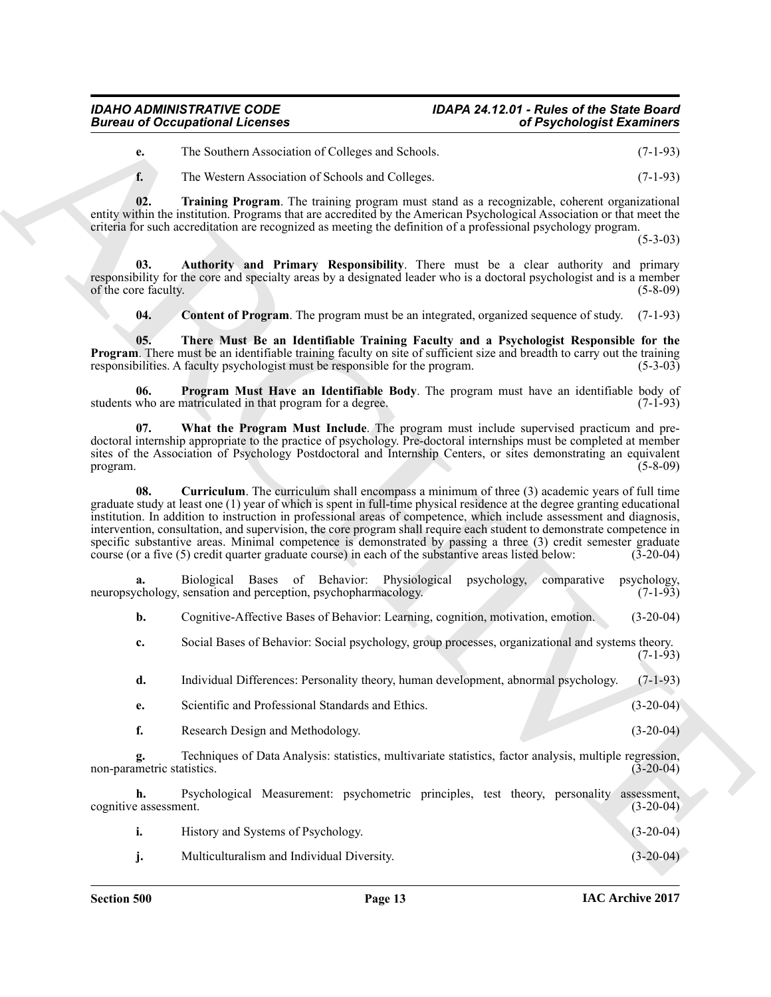#### *IDAHO ADMINISTRATIVE CODE IDAPA 24.12.01 - Rules of the State Board Bureau of Occupational Licenses*

**e.** The Southern Association of Colleges and Schools. (7-1-93)

<span id="page-12-5"></span>**f.** The Western Association of Schools and Colleges. (7-1-93)

**02. Training Program**. The training program must stand as a recognizable, coherent organizational entity within the institution. Programs that are accredited by the American Psychological Association or that meet the criteria for such accreditation are recognized as meeting the definition of a professional psychology program.

 $(5-3-03)$ 

**03. Authority and Primary Responsibility**. There must be a clear authority and primary responsibility for the core and specialty areas by a designated leader who is a doctoral psychologist and is a member of the core faculty.

<span id="page-12-4"></span><span id="page-12-3"></span><span id="page-12-1"></span><span id="page-12-0"></span>**04. Content of Program**. The program must be an integrated, organized sequence of study. (7-1-93)

**05. There Must Be an Identifiable Training Faculty and a Psychologist Responsible for the Program**. There must be an identifiable training faculty on site of sufficient size and breadth to carry out the training responsibilities. A faculty psychologist must be responsible for the program. (5-3-03) responsibilities. A faculty psychologist must be responsible for the program.

**06. Program Must Have an Identifiable Body**. The program must have an identifiable body of who are matriculated in that program for a degree. (7-1-93) students who are matriculated in that program for a degree.

<span id="page-12-6"></span><span id="page-12-2"></span>**07. What the Program Must Include**. The program must include supervised practicum and predoctoral internship appropriate to the practice of psychology. Pre-doctoral internships must be completed at member sites of the Association of Psychology Postdoctoral and Internship Centers, or sites demonstrating an equivalent program. (5-8-09) program. (5-8-09)

Given to Cocapsion of Lebenson<br>
the Southern Association of Celubratic Society and Showlet (2013)<br>
The Southern Association of Celubratic Society and Showlet (2013)<br>
The Society and The Society and The Society and Showlet **08.** Curriculum. The curriculum shall encompass a minimum of three (3) academic years of full time graduate study at least one (1) year of which is spent in full-time physical residence at the degree granting educational institution. In addition to instruction in professional areas of competence, which include assessment and diagnosis, intervention, consultation, and supervision, the core program shall require each student to demonstrate competence in specific substantive areas. Minimal competence is demonstrated by passing a three (3) credit semester graduate course (or a five (5) credit quarter graduate course) in each of the substantive areas listed below: (3-20-04) course (or a five (5) credit quarter graduate course) in each of the substantive areas listed below:

**a.** Biological Bases of Behavior: Physiological psychology, comparative psychology, enhanced preception, psychopharmacology. (7-1-93) neuropsychology, sensation and perception, psychopharmacology.

**b.** Cognitive-Affective Bases of Behavior: Learning, cognition, motivation, emotion. (3-20-04)

**c.** Social Bases of Behavior: Social psychology, group processes, organizational and systems theory.  $(7-1-93)$ 

**d.** Individual Differences: Personality theory, human development, abnormal psychology. (7-1-93)

- **e.** Scientific and Professional Standards and Ethics. (3-20-04)
- **f.** Research Design and Methodology. (3-20-04)

**g.** Techniques of Data Analysis: statistics, multivariate statistics, factor analysis, multiple regression, metric statistics. (3-20-04) non-parametric statistics.

**h.** Psychological Measurement: psychometric principles, test theory, personality assessment, eassessment. (3-20-04) cognitive assessment.

**i.** History and Systems of Psychology. (3-20-04)

**j.** Multiculturalism and Individual Diversity. (3-20-04)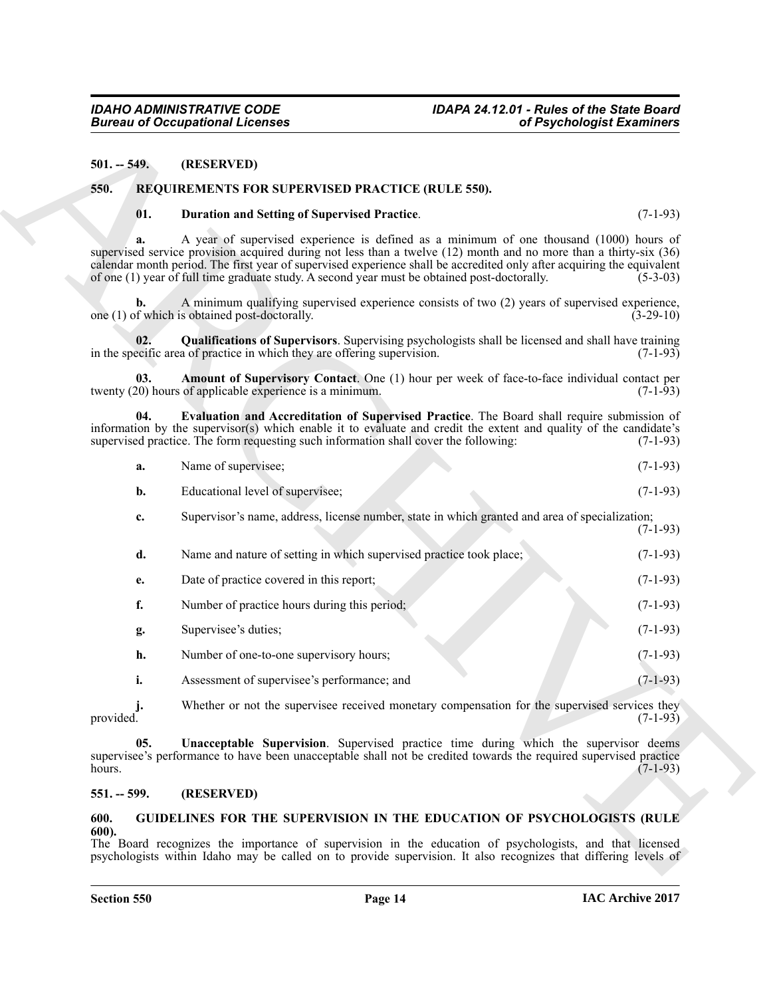#### <span id="page-13-0"></span>**501. -- 549. (RESERVED)**

#### <span id="page-13-1"></span>**550. REQUIREMENTS FOR SUPERVISED PRACTICE (RULE 550).**

#### <span id="page-13-7"></span><span id="page-13-5"></span>**01. Duration and Setting of Supervised Practice**. (7-1-93)

**a.** A year of supervised experience is defined as a minimum of one thousand (1000) hours of supervised service provision acquired during not less than a twelve (12) month and no more than a thirty-six (36) calendar month period. The first year of supervised experience shall be accredited only after acquiring the equivalent of one (1) year of full time graduate study. A second year must be obtained post-doctorally. (5-3-03)

**b.** A minimum qualifying supervised experience consists of two (2) years of supervised experience, one  $(1)$  of which is obtained post-doctorally.

<span id="page-13-9"></span>**02.** Qualifications of Supervisors. Supervising psychologists shall be licensed and shall have training ecific area of practice in which they are offering supervision. (7-1-93) in the specific area of practice in which they are offering supervision.

<span id="page-13-6"></span>**03. Amount of Supervisory Contact**. One (1) hour per week of face-to-face individual contact per 20) hours of applicable experience is a minimum. twenty  $(20)$  hours of applicable experience is a minimum.

**04. Evaluation and Accreditation of Supervised Practice**. The Board shall require submission of information by the supervisor(s) which enable it to evaluate and credit the extent and quality of the candidate's supervised practice. The form requesting such information shall cover the following: (7-1-93)

<span id="page-13-8"></span>

| а. | Name of supervisee; |  | $(7-1-93)$ |  |
|----|---------------------|--|------------|--|
|----|---------------------|--|------------|--|

- **b.** Educational level of supervisee; (7-1-93)
- **c.** Supervisor's name, address, license number, state in which granted and area of specialization;  $(7-1-93)$
- **EXAMPLE 2008**<br>
SHE SERIOUS CONTINUES TOR SUPERVISED PRACTICE (RLL ESS).<br>
SHE SERIOUS INTERVISTOR SUPERVISED PRACTICE (RLL ESS).<br>
The BE SERIOUS INTERVISTOR SUPERVISTOR PRACTICE (RLL ESS).<br>
THE SERIOUS INTERVISTOR SUPERVI **d.** Name and nature of setting in which supervised practice took place; (7-1-93) **e.** Date of practice covered in this report; (7-1-93) **f.** Number of practice hours during this period; (7-1-93) **g.** Supervisee's duties; (7-1-93) **h.** Number of one-to-one supervisory hours; (7-1-93) **i.** Assessment of supervisee's performance; and (7-1-93)

**j.** Whether or not the supervisee received monetary compensation for the supervised services they provided. (7-1-93) provided.  $(7-1-93)$ 

<span id="page-13-10"></span>**05. Unacceptable Supervision**. Supervised practice time during which the supervisor deems supervisee's performance to have been unacceptable shall not be credited towards the required supervised practice hours. hours.  $(7-1-93)$ 

#### <span id="page-13-2"></span>**551. -- 599. (RESERVED)**

#### <span id="page-13-4"></span><span id="page-13-3"></span>**600. GUIDELINES FOR THE SUPERVISION IN THE EDUCATION OF PSYCHOLOGISTS (RULE 600).**

The Board recognizes the importance of supervision in the education of psychologists, and that licensed psychologists within Idaho may be called on to provide supervision. It also recognizes that differing levels of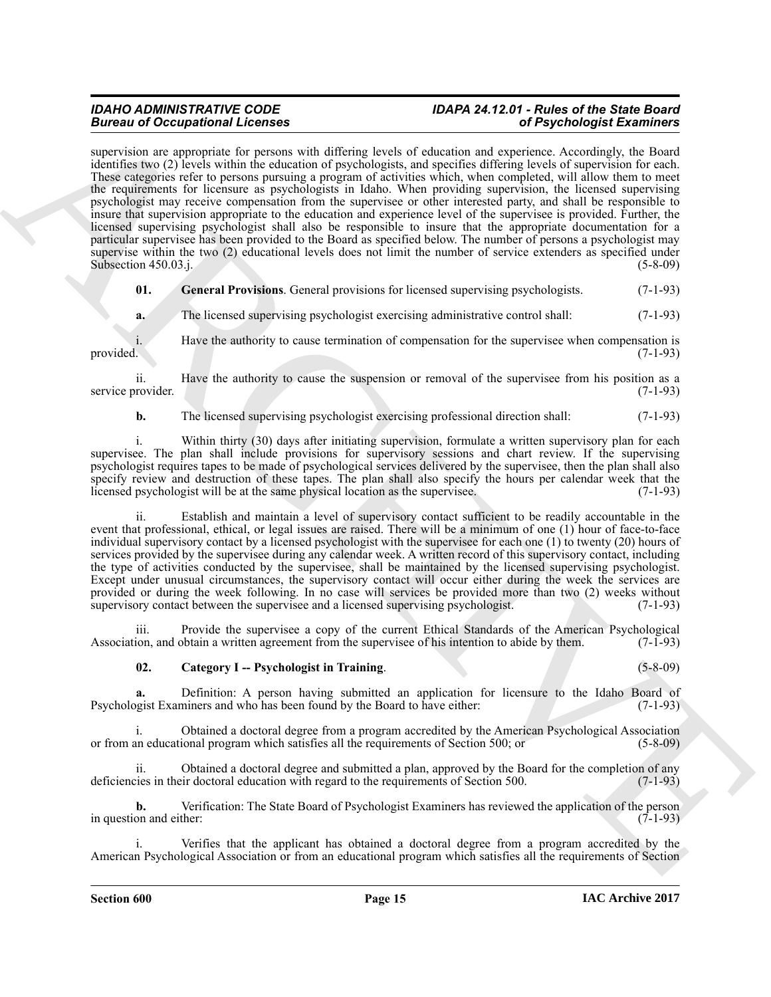## *IDAHO ADMINISTRATIVE CODE IDAPA 24.12.01 - Rules of the State Board*

**EXECUTE CONSERVATION EXECUTE AND SECURE AND INTERFERICANT CONSERVATION CONSERVATION CONSERVATION CONSERVATION CONSERVATION CONSERVATION CONSERVATION CONSERVATION CONSERVATION CONSERVATION CONSERVATION CONSERVATION CONSER** supervision are appropriate for persons with differing levels of education and experience. Accordingly, the Board identifies two (2) levels within the education of psychologists, and specifies differing levels of supervision for each. These categories refer to persons pursuing a program of activities which, when completed, will allow them to meet the requirements for licensure as psychologists in Idaho. When providing supervision, the licensed supervising psychologist may receive compensation from the supervisee or other interested party, and shall be responsible to insure that supervision appropriate to the education and experience level of the supervisee is provided. Further, the licensed supervising psychologist shall also be responsible to insure that the appropriate documentation for a particular supervisee has been provided to the Board as specified below. The number of persons a psychologist may supervise within the two (2) educational levels does not limit the number of service extenders as specified under Subsection 450.03.j. (5-8-09)

<span id="page-14-1"></span>**01.** General Provisions. General provisions for licensed supervising psychologists. (7-1-93)

**a.** The licensed supervising psychologist exercising administrative control shall: (7-1-93)

i. Have the authority to cause termination of compensation for the supervisee when compensation is provided. (7-1-93)

ii. Have the authority to cause the suspension or removal of the supervisee from his position as a provider.  $(7-1-93)$ service provider.

**b.** The licensed supervising psychologist exercising professional direction shall: (7-1-93)

i. Within thirty (30) days after initiating supervision, formulate a written supervisory plan for each supervisee. The plan shall include provisions for supervisory sessions and chart review. If the supervising psychologist requires tapes to be made of psychological services delivered by the supervisee, then the plan shall also specify review and destruction of these tapes. The plan shall also specify the hours per calendar week that the licensed psychologist will be at the same physical location as the supervisee. (7-1-93) licensed psychologist will be at the same physical location as the supervisee.

ii. Establish and maintain a level of supervisory contact sufficient to be readily accountable in the event that professional, ethical, or legal issues are raised. There will be a minimum of one (1) hour of face-to-face individual supervisory contact by a licensed psychologist with the supervisee for each one (1) to twenty (20) hours of services provided by the supervisee during any calendar week. A written record of this supervisory contact, including the type of activities conducted by the supervisee, shall be maintained by the licensed supervising psychologist. Except under unusual circumstances, the supervisory contact will occur either during the week the services are provided or during the week following. In no case will services be provided more than two (2) weeks without supervisory contact between the supervise and a licensed supervising psychologist. (7-1-93) supervisory contact between the supervisee and a licensed supervising psychologist.

iii. Provide the supervisee a copy of the current Ethical Standards of the American Psychological lion, and obtain a written agreement from the supervisee of his intention to abide by them. (7-1-93) Association, and obtain a written agreement from the supervisee of his intention to abide by them.

#### <span id="page-14-0"></span>**02. Category I -- Psychologist in Training**. (5-8-09)

**a.** Definition: A person having submitted an application for licensure to the Idaho Board of gist Examiners and who has been found by the Board to have either: (7-1-93) Psychologist Examiners and who has been found by the Board to have either:

i. Obtained a doctoral degree from a program accredited by the American Psychological Association or from an educational program which satisfies all the requirements of Section 500; or (5-8-09)

ii. Obtained a doctoral degree and submitted a plan, approved by the Board for the completion of any ites in their doctoral education with regard to the requirements of Section 500. (7-1-93) deficiencies in their doctoral education with regard to the requirements of Section 500.

**b.** Verification: The State Board of Psychologist Examiners has reviewed the application of the person on and either: (7-1-93) in question and either:

i. Verifies that the applicant has obtained a doctoral degree from a program accredited by the American Psychological Association or from an educational program which satisfies all the requirements of Section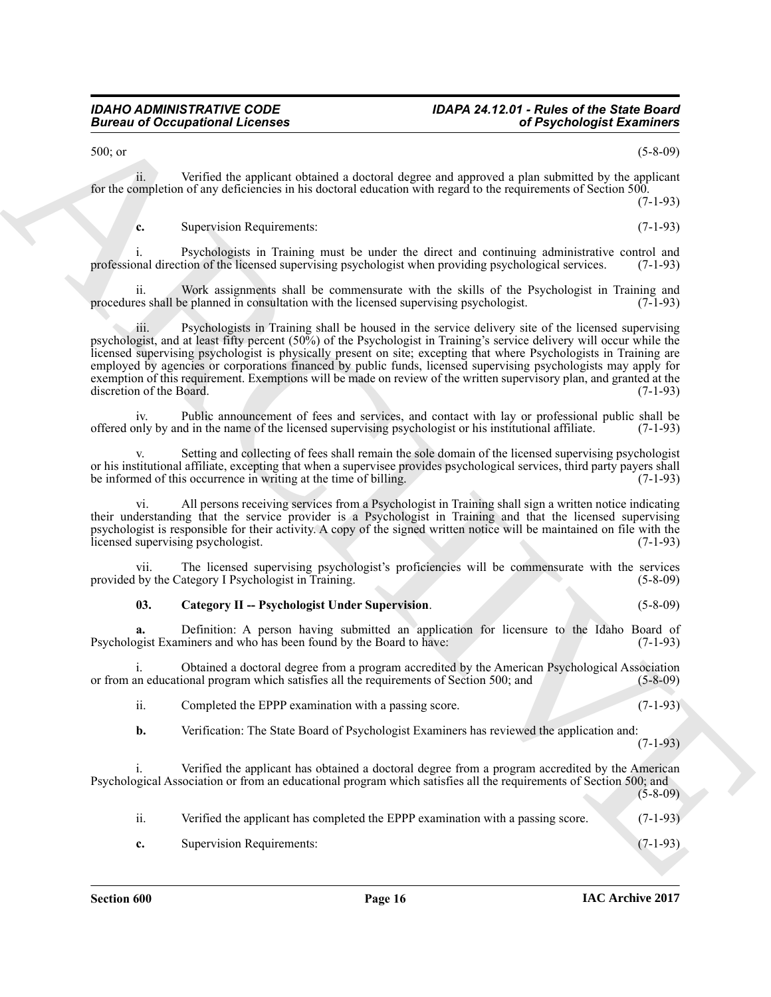### *IDAHO ADMINISTRATIVE CODE IDAPA 24.12.01 - Rules of the State Board*

500; or (5-8-09)

ii. Verified the applicant obtained a doctoral degree and approved a plan submitted by the applicant for the completion of any deficiencies in his doctoral education with regard to the requirements of Section 500. (7-1-93)

**c.** Supervision Requirements: (7-1-93)

i. Psychologists in Training must be under the direct and continuing administrative control and professional direction of the licensed supervising psychologist when providing psychological services. (7-1-93)

ii. Work assignments shall be commensurate with the skills of the Psychologist in Training and es shall be planned in consultation with the licensed supervising psychologist. (7-1-93) procedures shall be planned in consultation with the licensed supervising psychologist.

Given to Conception of Lebensta attached a state of the spin of Psychologia Extension Conception  $\chi$  (149)<br>
ARCHIVES the spin of the spin of the spin of the spin of the spin of the spin of the spin of the spin of the spi iii. Psychologists in Training shall be housed in the service delivery site of the licensed supervising psychologist, and at least fifty percent (50%) of the Psychologist in Training's service delivery will occur while the licensed supervising psychologist is physically present on site; excepting that where Psychologists in Training are employed by agencies or corporations financed by public funds, licensed supervising psychologists may apply for exemption of this requirement. Exemptions will be made on review of the written supervisory plan, and granted at the discretion of the Board. (7-1-93) discretion of the Board.

iv. Public announcement of fees and services, and contact with lay or professional public shall be only by and in the name of the licensed supervising psychologist or his institutional affiliate. (7-1-93) offered only by and in the name of the licensed supervising psychologist or his institutional affiliate. (7-1-93)

Setting and collecting of fees shall remain the sole domain of the licensed supervising psychologist or his institutional affiliate, excepting that when a supervisee provides psychological services, third party payers shall<br>be informed of this occurrence in writing at the time of billing. (7-1-93) be informed of this occurrence in writing at the time of billing.

All persons receiving services from a Psychologist in Training shall sign a written notice indicating their understanding that the service provider is a Psychologist in Training and that the licensed supervising psychologist is responsible for their activity. A copy of the signed written notice will be maintained on file with the licensed supervising psychologist. (7-1-93) licensed supervising psychologist.

vii. The licensed supervising psychologist's proficiencies will be commensurate with the services provided by the Category I Psychologist in Training.

#### <span id="page-15-0"></span>**03. Category II -- Psychologist Under Supervision**. (5-8-09)

**a.** Definition: A person having submitted an application for licensure to the Idaho Board of gist Examiners and who has been found by the Board to have: (7-1-93) Psychologist Examiners and who has been found by the Board to have:

i. Obtained a doctoral degree from a program accredited by the American Psychological Association or from an educational program which satisfies all the requirements of Section 500; and (5-8-09)

ii. Completed the EPPP examination with a passing score. (7-1-93)

**b.** Verification: The State Board of Psychologist Examiners has reviewed the application and:

(7-1-93)

Verified the applicant has obtained a doctoral degree from a program accredited by the American Psychological Association or from an educational program which satisfies all the requirements of Section 500; and (5-8-09)

ii. Verified the applicant has completed the EPPP examination with a passing score. (7-1-93)

**c.** Supervision Requirements: (7-1-93)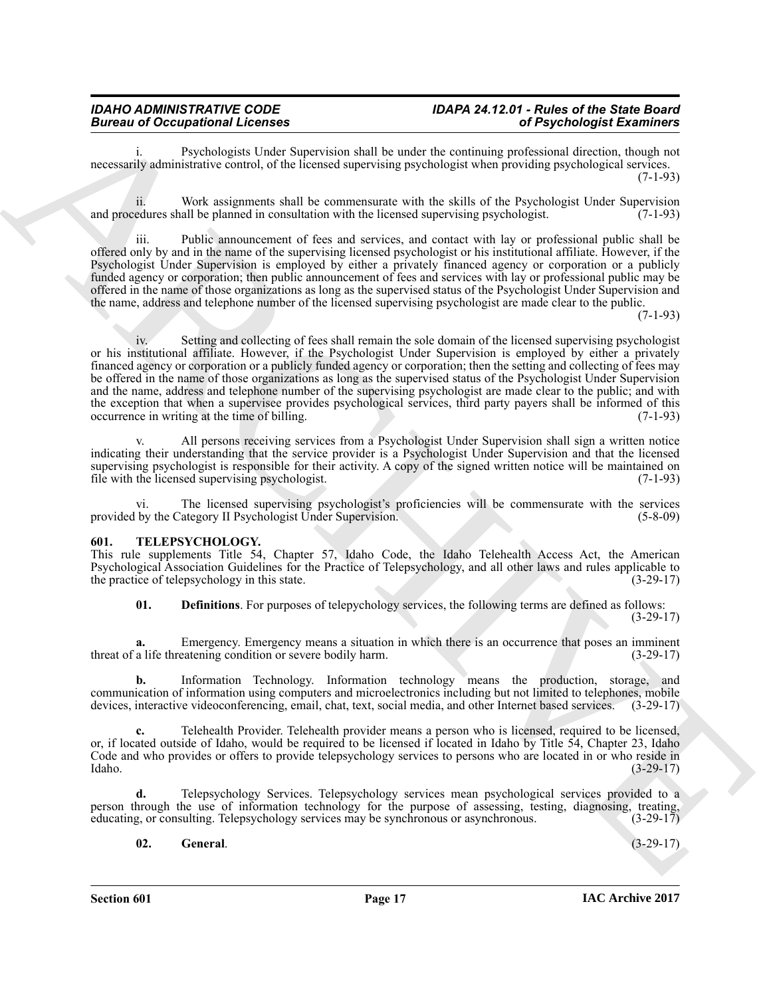### *IDAHO ADMINISTRATIVE CODE IDAPA 24.12.01 - Rules of the State Board*

Psychologists Under Supervision shall be under the continuing professional direction, though not necessarily administrative control, of the licensed supervising psychologist when providing psychological services. (7-1-93)

ii. Work assignments shall be commensurate with the skills of the Psychologist Under Supervision and procedures shall be planned in consultation with the licensed supervising psychologist. (7-1-93)

iii. Public announcement of fees and services, and contact with lay or professional public shall be offered only by and in the name of the supervising licensed psychologist or his institutional affiliate. However, if the Psychologist Under Supervision is employed by either a privately financed agency or corporation or a publicly funded agency or corporation; then public announcement of fees and services with lay or professional public may be offered in the name of those organizations as long as the supervised status of the Psychologist Under Supervision and the name, address and telephone number of the licensed supervising psychologist are made clear to the public.

 $(7-1-93)$ 

Bureau of Occupation of Principal Control in the main section and the continuum publisher Example Example of the section of the section of Principal Control in the section of the section of the section of the section of t iv. Setting and collecting of fees shall remain the sole domain of the licensed supervising psychologist or his institutional affiliate. However, if the Psychologist Under Supervision is employed by either a privately financed agency or corporation or a publicly funded agency or corporation; then the setting and collecting of fees may be offered in the name of those organizations as long as the supervised status of the Psychologist Under Supervision and the name, address and telephone number of the supervising psychologist are made clear to the public; and with the exception that when a supervisee provides psychological services, third party payers shall be informed of this occurrence in writing at the time of billing. occurrence in writing at the time of billing.

All persons receiving services from a Psychologist Under Supervision shall sign a written notice indicating their understanding that the service provider is a Psychologist Under Supervision and that the licensed supervising psychologist is responsible for their activity. A copy of the signed written notice will be maintained on file with the licensed supervising psychologist. (7-1-93) file with the licensed supervising psychologist.

The licensed supervising psychologist's proficiencies will be commensurate with the services provided by the Category II Psychologist Under Supervision. (5-8-09)

#### <span id="page-16-1"></span><span id="page-16-0"></span>**601. TELEPSYCHOLOGY.**

This rule supplements Title 54, Chapter 57, Idaho Code, the Idaho Telehealth Access Act, the American Psychological Association Guidelines for the Practice of Telepsychology, and all other laws and rules applicable to the practice of telepsychology in this state.

<span id="page-16-2"></span>**01. Definitions**. For purposes of telepychology services, the following terms are defined as follows:  $(3-29-17)$ 

**a.** Emergency. Emergency means a situation in which there is an occurrence that poses an imminent a life threatening condition or severe bodily harm.  $(3-29-17)$ threat of a life threatening condition or severe bodily harm.

**b.** Information Technology. Information technology means the production, storage, and communication of information using computers and microelectronics including but not limited to telephones, mobile devices, interactive videoconferencing, email, chat, text, social media, and other Internet based services. devices, interactive videoconferencing, email, chat, text, social media, and other Internet based services.

**c.** Telehealth Provider. Telehealth provider means a person who is licensed, required to be licensed, or, if located outside of Idaho, would be required to be licensed if located in Idaho by Title 54, Chapter 23, Idaho Code and who provides or offers to provide telepsychology services to persons who are located in or who reside in Idaho. (3-29-17) Idaho. (3-29-17)

**d.** Telepsychology Services. Telepsychology services mean psychological services provided to a person through the use of information technology for the purpose of assessing, testing, diagnosing, treating, educating, or consulting. Telepsychology services may be synchronous or asynchronous. (3-29-17)

#### <span id="page-16-3"></span>**02. General**. (3-29-17)

**Section 601 Page 17**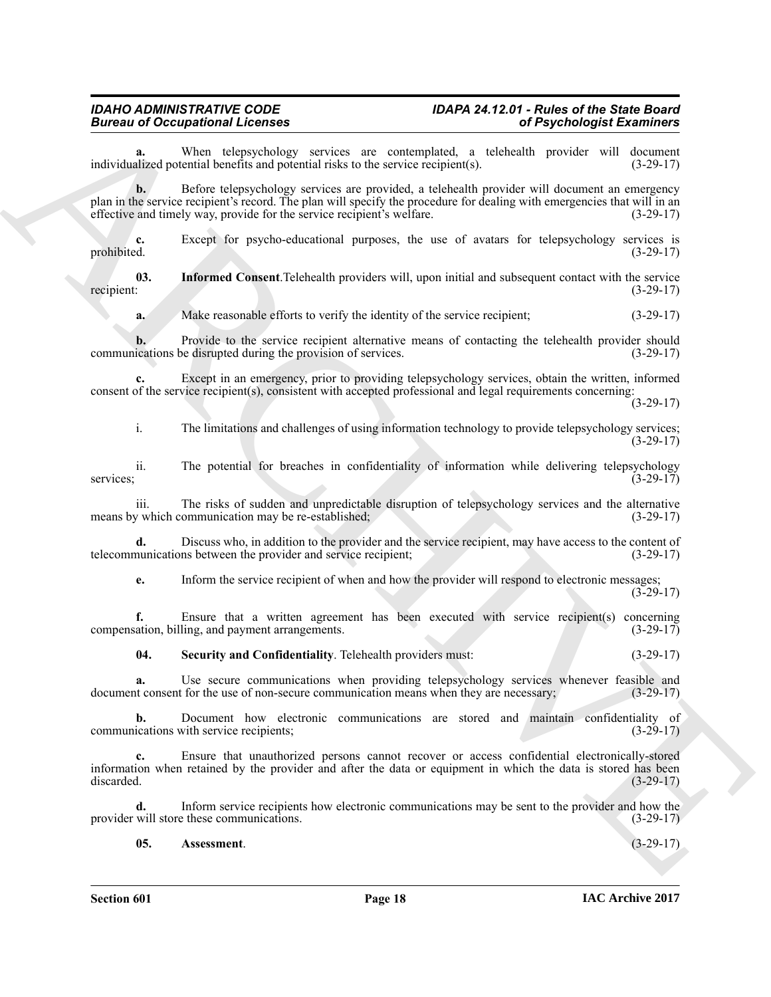### *IDAHO ADMINISTRATIVE CODE IDAPA 24.12.01 - Rules of the State Board*

When telepsychology services are contemplated, a telehealth provider will document ential benefits and potential risks to the service recipient(s). (3-29-17) individualized potential benefits and potential risks to the service  $recipient(s)$ .

Biomato of Compatibion Schemes and the state of the state of Psychologia Externion Compatibion and the state of the state of the state of the state of the state of the state of the state of the state of the state of the s **b.** Before telepsychology services are provided, a telehealth provider will document an emergency plan in the service recipient's record. The plan will specify the procedure for dealing with emergencies that will in an effective and timely way, provide for the service recipient's welfare. (3-29-17) effective and timely way, provide for the service recipient's welfare.

**c.** Except for psycho-educational purposes, the use of avatars for telepsychology services is prohibited.  $(3-29-17)$ prohibited. (3-29-17)

**03.** Informed Consent. Telehealth providers will, upon initial and subsequent contact with the service recipient:  $(3-29-17)$ recipient:  $(3-29-17)$ 

<span id="page-17-1"></span>**a.** Make reasonable efforts to verify the identity of the service recipient; (3-29-17)

**b.** Provide to the service recipient alternative means of contacting the telehealth provider should ications be disrupted during the provision of services. (3-29-17) communications be disrupted during the provision of services.

**c.** Except in an emergency, prior to providing telepsychology services, obtain the written, informed consent of the service recipient(s), consistent with accepted professional and legal requirements concerning:

(3-29-17)

i. The limitations and challenges of using information technology to provide telepsychology services;  $(3-29-17)$ 

ii. The potential for breaches in confidentiality of information while delivering telepsychology (3-29-17) services; (3-29-17)

iii. The risks of sudden and unpredictable disruption of telepsychology services and the alternative y which communication may be re-established; (3-29-17) means by which communication may be re-established;

**d.** Discuss who, in addition to the provider and the service recipient, may have access to the content of munications between the provider and service recipient; (3-29-17) telecommunications between the provider and service recipient;

**e.** Inform the service recipient of when and how the provider will respond to electronic messages; (3-29-17)

**f.** Ensure that a written agreement has been executed with service recipient(s) concerning ation, billing, and payment arrangements. (3-29-17) compensation, billing, and payment arrangements.

<span id="page-17-2"></span>**04. Security and Confidentiality**. Telehealth providers must: (3-29-17)

**a.** Use secure communications when providing telepsychology services whenever feasible and it consent for the use of non-secure communication means when they are necessary: (3-29-17) document consent for the use of non-secure communication means when they are necessary;

**b.** Document how electronic communications are stored and maintain confidentiality of ications with service recipients; (3-29-17) communications with service recipients;

**c.** Ensure that unauthorized persons cannot recover or access confidential electronically-stored information when retained by the provider and after the data or equipment in which the data is stored has been discarded. (3-29-17)

**d.** Inform service recipients how electronic communications may be sent to the provider and how the provider will store these communications. (3-29-17)

<span id="page-17-0"></span>**05. Assessment**. (3-29-17)

**Section 601 Page 18**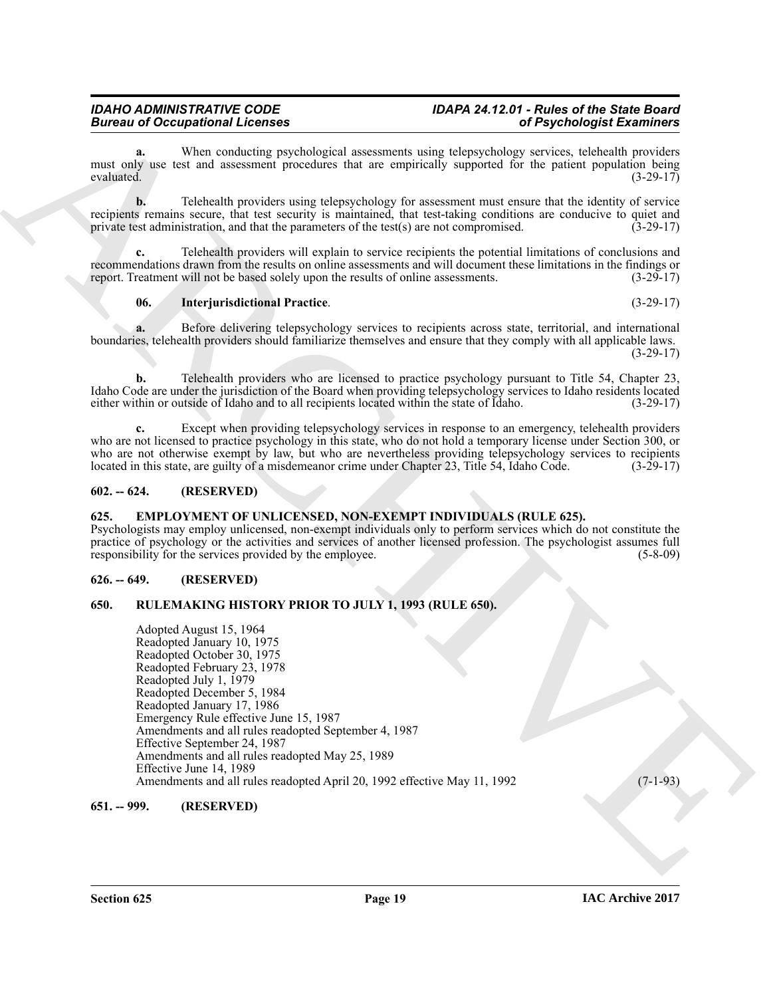### *IDAHO ADMINISTRATIVE CODE IDAPA 24.12.01 - Rules of the State Board*

When conducting psychological assessments using telepsychology services, telehealth providers must only use test and assessment procedures that are empirically supported for the patient population being evaluated. (3-29-17) evaluated.  $(3-29-17)$ 

**b.** Telehealth providers using telepsychology for assessment must ensure that the identity of service recipients remains secure, that test security is maintained, that test-taking conditions are conducive to quiet and private test administration, and that the parameters of the test(s) are not compromised. (3-29-17) private test administration, and that the parameters of the test $(s)$  are not compromised.

**c.** Telehealth providers will explain to service recipients the potential limitations of conclusions and recommendations drawn from the results on online assessments and will document these limitations in the findings or report. Treatment will not be based solely upon the results of online assessments. (3-29-17) report. Treatment will not be based solely upon the results of online assessments.

#### <span id="page-18-7"></span>**06. Interjurisdictional Practice**. (3-29-17)

**a.** Before delivering telepsychology services to recipients across state, territorial, and international boundaries, telehealth providers should familiarize themselves and ensure that they comply with all applicable laws. (3-29-17)

**b.** Telehealth providers who are licensed to practice psychology pursuant to Title 54, Chapter 23, Idaho Code are under the jurisdiction of the Board when providing telepsychology services to Idaho residents located either within or outside of Idaho and to all recipients located within the state of Idaho.

**c.** Except when providing telepsychology services in response to an emergency, telehealth providers who are not licensed to practice psychology in this state, who do not hold a temporary license under Section 300, or who are not otherwise exempt by law, but who are nevertheless providing telepsychology services to recipients located in this state, are guilty of a misdemeanor crime under Chapter 23. Title 54, Idaho Code. (3-29-17) located in this state, are guilty of a misdemeanor crime under Chapter 23, Title 54, Idaho Code.

#### <span id="page-18-0"></span>**602. -- 624. (RESERVED)**

#### <span id="page-18-5"></span><span id="page-18-1"></span>**625. EMPLOYMENT OF UNLICENSED, NON-EXEMPT INDIVIDUALS (RULE 625).**

Psychologists may employ unlicensed, non-exempt individuals only to perform services which do not constitute the practice of psychology or the activities and services of another licensed profession. The psychologist assumes full responsibility for the services provided by the employee. (5-8-09) responsibility for the services provided by the employee.

#### <span id="page-18-2"></span>**626. -- 649. (RESERVED)**

#### <span id="page-18-6"></span><span id="page-18-3"></span>**650. RULEMAKING HISTORY PRIOR TO JULY 1, 1993 (RULE 650).**

**Bureau of Occupation H. Lenster and Strengthenia and Strengthenia and Strengthenia and Strengthenia and Strengthenia and Strengthenia and Strengthenia and Strengthenia and Strengthenia and Strengthenia and Strengthenia a** Adopted August 15, 1964 Readopted January 10, 1975 Readopted October 30, 1975 Readopted February 23, 1978 Readopted July 1, 1979 Readopted December 5, 1984 Readopted January 17, 1986 Emergency Rule effective June 15, 1987 Amendments and all rules readopted September 4, 1987 Effective September 24, 1987 Amendments and all rules readopted May 25, 1989 Effective June 14, 1989 Amendments and all rules readopted April 20, 1992 effective May 11, 1992 (7-1-93)

#### <span id="page-18-4"></span>**651. -- 999. (RESERVED)**